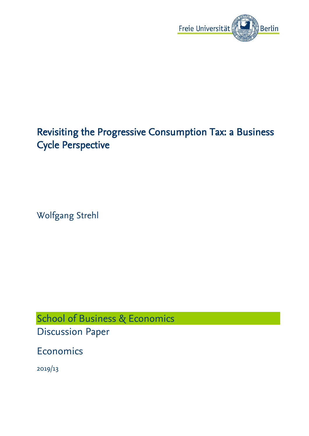

# Revisiting the Progressive Consumption Tax: a Business Cycle Perspective

Wolfgang Strehl

School of Business & Economics Discussion Paper

Economics

2019/13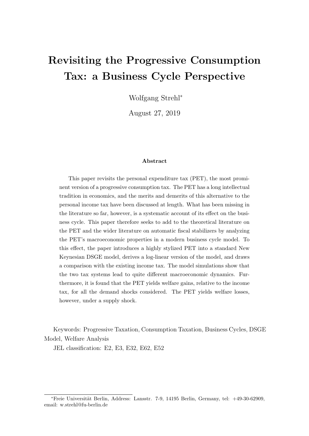# Revisiting the Progressive Consumption Tax: a Business Cycle Perspective

Wolfgang Strehl<sup>∗</sup>

August 27, 2019

#### Abstract

This paper revisits the personal expenditure tax (PET), the most prominent version of a progressive consumption tax. The PET has a long intellectual tradition in economics, and the merits and demerits of this alternative to the personal income tax have been discussed at length. What has been missing in the literature so far, however, is a systematic account of its effect on the business cycle. This paper therefore seeks to add to the theoretical literature on the PET and the wider literature on automatic fiscal stabilizers by analyzing the PET's macroeconomic properties in a modern business cycle model. To this effect, the paper introduces a highly stylized PET into a standard New Keynesian DSGE model, derives a log-linear version of the model, and draws a comparison with the existing income tax. The model simulations show that the two tax systems lead to quite different macroeconomic dynamics. Furthermore, it is found that the PET yields welfare gains, relative to the income tax, for all the demand shocks considered. The PET yields welfare losses, however, under a supply shock.

Keywords: Progressive Taxation, Consumption Taxation, Business Cycles, DSGE Model, Welfare Analysis

JEL classification: E2, E3, E32, E62, E52

<sup>∗</sup>Freie Universit¨at Berlin, Address: Lansstr. 7-9, 14195 Berlin, Germany, tel: +49-30-62909, email: w.strehl@fu-berlin.de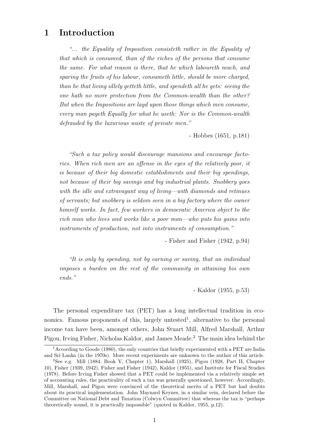# 1 Introduction

"... the Equality of Imposition consisteth rather in the Equality of that which is consumed, than of the riches of the persons that consume the same. For what reason is there, that he which laboureth much, and sparing the fruits of his labour, consumeth little, should be more charged, than he that living idlely getteth little, and spendeth all he gets: seeing the one hath no more protection from the Common-wealth than the other? But when the Impositions are layd upon those things which men consume, every man payeth Equally for what he useth: Nor is the Common-wealth defrauded by the luxurious waste of private men."

- Hobbes (1651, p.181)

"Such a tax policy would discourage mansions and encourage factories. When rich men are an offense in the eyes of the relatively poor, it is because of their big domestic establishments and their big spendings, not because of their big savings and big industrial plants. Snobbery goes with the idle and extravagant way of living—with diamonds and retinues of servants; but snobbery is seldom seen in a big factory where the owner himself works. In fact, few workers in democratic America object to the rich man who lives and works like a poor man—who puts his gains into instruments of production, not into instruments of consumption."

- Fisher and Fisher (1942, p.94)

"It is only by spending, not by earning or saving, that an individual imposes a burden on the rest of the community in attaining his own ends."

- Kaldor (1955, p.53)

The personal expenditure tax (PET) has a long intellectual tradition in economics. Famous proponents of this, largely untested<sup>1</sup>, alternative to the personal income tax have been, amongst others, John Stuart Mill, Alfred Marshall, Arthur Pigou, Irving Fisher, Nicholas Kaldor, and James Meade.<sup>2</sup> The main idea behind the

<sup>&</sup>lt;sup>1</sup> According to Goode (1980), the only countries that briefly experimented with a PET are India and Sri Lanka (in the 1970s). More recent experiments are unknown to the author of this article.

<sup>2</sup>See e.g. Mill (1884, Book V, Chapter 1), Marshall (1925), Pigou (1928, Part II, Chapter 10), Fisher (1939, 1942), Fisher and Fisher (1942), Kaldor (1955), and Institute for Fiscal Studies (1978). Before Irving Fisher showed that a PET could be implemented via a relatively simple set of accounting rules, the practicality of such a tax was generally questioned, however. Accordingly, Mill, Marshall, and Pigou were convinced of the theoretical merits of a PET but had doubts about its practical implementation. John Maynard Keynes, in a similar vein, declared before the Committee on National Debt and Taxation (Colwyn Committee) that whereas the tax is "perhaps theoretically sound, it is practically impossible" (quoted in Kaldor, 1955, p.12).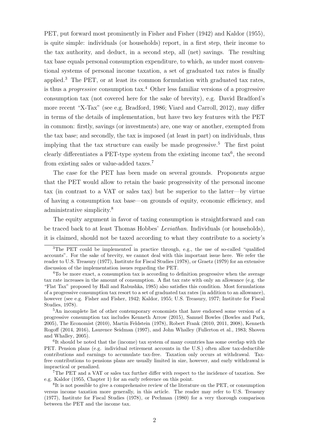PET, put forward most prominently in Fisher and Fisher (1942) and Kaldor (1955), is quite simple: individuals (or households) report, in a first step, their income to the tax authority, and deduct, in a second step, all (net) savings. The resulting tax base equals personal consumption expenditure, to which, as under most conventional systems of personal income taxation, a set of graduated tax rates is finally applied.<sup>3</sup> The PET, or at least its common formulation with graduated tax rates, is thus a *progressive* consumption  $\text{tax.}^4$  Other less familiar versions of a progressive consumption tax (not covered here for the sake of brevity), e.g. David Bradford's more recent "X-Tax" (see e.g. Bradford, 1986; Viard and Carroll, 2012), may differ in terms of the details of implementation, but have two key features with the PET in common: firstly, savings (or investments) are, one way or another, exempted from the tax base; and secondly, the tax is imposed (at least in part) on individuals, thus implying that the tax structure can easily be made progressive.<sup>5</sup> The first point clearly differentiates a PET-type system from the existing income  $\text{tax}^6$ , the second from existing sales or value-added taxes.<sup>7</sup>

The case for the PET has been made on several grounds. Proponents argue that the PET would allow to retain the basic progressivity of the personal income tax (in contrast to a VAT or sales tax) but be superior to the latter—by virtue of having a consumption tax base—on grounds of equity, economic efficiency, and administrative simplicity.<sup>8</sup>

The equity argument in favor of taxing consumption is straightforward and can be traced back to at least Thomas Hobbes' Leviathan. Individuals (or households), it is claimed, should not be taxed according to what they contribute to a society's

<sup>&</sup>lt;sup>3</sup>The PET could be implemented in practice through, e.g., the use of so-called "qualified" accounts". For the sake of brevity, we cannot deal with this important issue here. We refer the reader to U.S. Treasury (1977), Institute for Fiscal Studies (1978), or Graetz (1979) for an extensive discussion of the implementation issues regarding the PET.

<sup>&</sup>lt;sup>4</sup>To be more exact, a consumption tax is according to definition progressive when the average tax rate increases in the amount of consumption. A flat tax rate with only an allowance (e.g. the "Flat Tax" proposed by Hall and Rabushka, 1985) also satisfies this condition. Most formulations of a progressive consumption tax resort to a set of graduated tax rates (in addition to an allowance), however (see e.g. Fisher and Fisher, 1942; Kaldor, 1955; U.S. Treasury, 1977; Institute for Fiscal Studies, 1978).

<sup>5</sup>An incomplete list of other contemporary economists that have endorsed some version of a progressive consumption tax includes Kenneth Arrow (2015), Samuel Bowles (Bowles and Park, 2005), The Economist (2010), Martin Feldstein (1978), Robert Frank (2010, 2011, 2008), Kenneth Rogoff (2014, 2016), Laurence Seidman (1997), and John Whalley (Fullerton et al., 1983; Shoven and Whalley, 2005).

<sup>&</sup>lt;sup>6</sup>It should be noted that the (income) tax system of many countries has some overlap with the PET. Pension plans (e.g. individual retirement accounts in the U.S.) often allow tax-deductible contributions and earnings to accumulate tax-free. Taxation only occurs at withdrawal. Taxfree contributions to pensions plans are usually limited in size, however, and early withdrawal is impractical or penalized.

<sup>7</sup>The PET and a VAT or sales tax further differ with respect to the incidence of taxation. See e.g. Kaldor (1955, Chapter 1) for an early reference on this point.

<sup>&</sup>lt;sup>8</sup>It is not possible to give a comprehensive review of the literature on the PET, or consumption versus income taxation more generally, in this article. The reader may refer to U.S. Treasury (1977), Institute for Fiscal Studies (1978), or Pechman (1980) for a very thorough comparison between the PET and the income tax.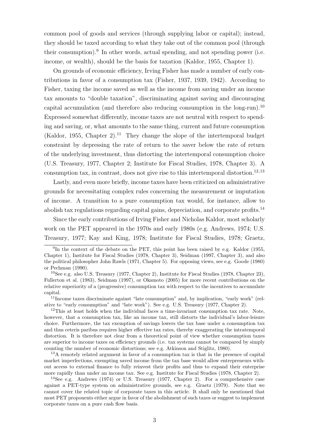common pool of goods and services (through supplying labor or capital); instead, they should be taxed according to what they take out of the common pool (through their consumption).<sup>9</sup> In other words, actual spending, and not spending power (i.e. income, or wealth), should be the basis for taxation (Kaldor, 1955, Chapter 1).

On grounds of economic efficiency, Irving Fisher has made a number of early contributions in favor of a consumption tax (Fisher, 1937, 1939, 1942). According to Fisher, taxing the income saved as well as the income from saving under an income tax amounts to "double taxation", discriminating against saving and discouraging capital accumulation (and therefore also reducing consumption in the long-run).<sup>10</sup> Expressed somewhat differently, income taxes are not neutral with respect to spending and saving, or, what amounts to the same thing, current and future consumption (Kaldor, 1955, Chapter 2).<sup>11</sup> They change the slope of the intertemporal budget constraint by depressing the rate of return to the saver below the rate of return of the underlying investment, thus distorting the intertemporal consumption choice (U.S. Treasury, 1977, Chapter 2; Institute for Fiscal Studies, 1978, Chapter 3). A consumption tax, in contrast, does not give rise to this intertemporal distortion.<sup>12,13</sup>

Lastly, and even more briefly, income taxes have been criticized on administrative grounds for necessitating complex rules concerning the measurement or imputation of income. A transition to a pure consumption tax would, for instance, allow to abolish tax regulations regarding capital gains, depreciation, and corporate profits.<sup>14</sup>

Since the early contributions of Irving Fisher and Nicholas Kaldor, most scholarly work on the PET appeared in the 1970s and early 1980s (e.g. Andrews, 1974; U.S. Treasury, 1977; Kay and King, 1978; Institute for Fiscal Studies, 1978; Graetz,

<sup>11</sup>Income taxes discriminate against "late consumption" and, by implication, "early work" (relative to "early consumption" and "late work"). See e.g. U.S. Treasury (1977, Chapter 2).

 $12$ This at least holds when the individual faces a time-invariant consumption tax rate. Note, however, that a consumption tax, like an income tax, still distorts the individual's labor-leisure choice. Furthermore, the tax exemption of savings lowers the tax base under a consumption tax and thus ceteris paribus requires higher effective tax rates, thereby exaggerating the intratemporal distortion. It is therefore not clear from a theoretical point of view whether consumption taxes are superior to income taxes on efficiency grounds (i.e. tax systems cannot be compared by simply counting the number of economic distortions; see e.g. Atkinson and Stiglitz, 1980).

<sup>13</sup>A remotely related argument in favor of a consumption tax is that in the presence of capital market imperfections, exempting saved income from the tax base would allow entrepreneurs without access to external finance to fully reinvest their profits and thus to expand their enterprise more rapidly than under an income tax. See e.g. Institute for Fiscal Studies (1978, Chapter 2).

<sup>14</sup>See e.g. Andrews (1974) or U.S. Treasury (1977, Chapter 2). For a comprehensive case against a PET-type system on administrative grounds, see e.g. Graetz (1979). Note that we cannot cover the related topic of corporate taxes in this article. It shall only be mentioned that most PET proponents either argue in favor of the abolishment of such taxes or suggest to implement corporate taxes on a pure cash flow basis.

<sup>&</sup>lt;sup>9</sup>In the context of the debate on the PET, this point has been raised by e.g. Kaldor (1955, Chapter 1), Institute for Fiscal Studies (1978, Chapter 3), Seidman (1997, Chapter 3), and also the political philosopher John Rawls (1971, Chapter 5). For opposing views, see e.g. Goode (1980) or Pechman (1990).

<sup>10</sup>See e.g. also U.S. Treasury (1977, Chapter 2), Institute for Fiscal Studies (1978, Chapter 23), Fullerton et al. (1983), Seidman (1997), or Okamoto (2005) for more recent contributions on the relative superiority of a (progressive) consumption tax with respect to the incentives to accumulate capital.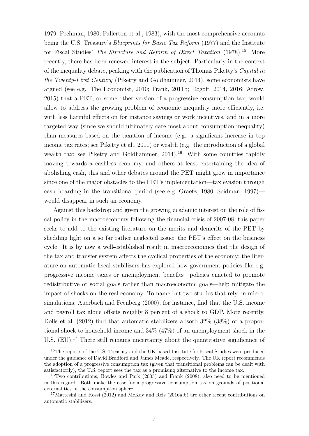1979; Pechman, 1980; Fullerton et al., 1983), with the most comprehensive accounts being the U.S. Treasury's *Blueprints for Basic Tax Reform* (1977) and the Institute for Fiscal Studies' *The Structure and Reform of Direct Taxation* (1978).<sup>15</sup> More recently, there has been renewed interest in the subject. Particularly in the context of the inequality debate, peaking with the publication of Thomas Piketty's *Capital in* the Twenty-First Century (Piketty and Goldhammer, 2014), some economists have argued (see e.g. The Economist, 2010; Frank, 2011b; Rogoff, 2014, 2016; Arrow, 2015) that a PET, or some other version of a progressive consumption tax, would allow to address the growing problem of economic inequality more efficiently, i.e. with less harmful effects on for instance savings or work incentives, and in a more targeted way (since we should ultimately care most about consumption inequality) than measures based on the taxation of income (e.g. a significant increase in top income tax rates; see Piketty et al., 2011) or wealth (e.g. the introduction of a global wealth tax; see Piketty and Goldhammer,  $2014$ .<sup>16</sup> With some countries rapidly moving towards a cashless economy, and others at least entertaining the idea of abolishing cash, this and other debates around the PET might grow in importance since one of the major obstacles to the PET's implementation—tax evasion through cash hoarding in the transitional period (see e.g. Graetz, 1980; Seidman, 1997) would disappear in such an economy.

Against this backdrop and given the growing academic interest on the role of fiscal policy in the macroeconomy following the financial crisis of 2007-08, this paper seeks to add to the existing literature on the merits and demerits of the PET by shedding light on a so far rather neglected issue: the PET's effect on the business cycle. It is by now a well-established result in macroeconomics that the design of the tax and transfer system affects the cyclical properties of the economy; the literature on automatic fiscal stabilizers has explored how government policies like e.g. progressive income taxes or unemployment benefits—policies enacted to promote redistributive or social goals rather than macroeconomic goals—help mitigate the impact of shocks on the real economy. To name but two studies that rely on microsimulations, Auerbach and Feenberg (2000), for instance, find that the U.S. income and payroll tax alone offsets roughly 8 percent of a shock to GDP. More recently, Dolls et al. (2012) find that automatic stabilizers absorb 32% (38%) of a proportional shock to household income and 34% (47%) of an unemployment shock in the U.S. (EU).<sup>17</sup> There still remains uncertainty about the quantitative significance of

<sup>&</sup>lt;sup>15</sup>The reports of the U.S. Treasury and the UK-based Institute for Fiscal Studies were produced under the guidance of David Bradford and James Meade, respectively. The UK report recommends the adoption of a progressive consumption tax (given that transitional problems can be dealt with satisfactorily), the U.S. report sees the tax as a promising alternative to the income tax.

<sup>16</sup>Two contributions, Bowles and Park (2005) and Frank (2008), also need to be mentioned in this regard. Both make the case for a progressive consumption tax on grounds of positional externalities in the consumption sphere.

<sup>&</sup>lt;sup>17</sup>Mattesini and Rossi (2012) and McKay and Reis (2016a,b) are other recent contributions on automatic stabilizers.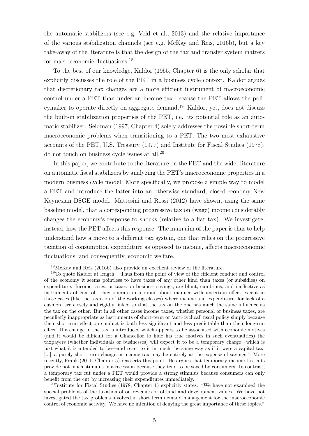the automatic stabilizers (see e.g. Veld et al., 2013) and the relative importance of the various stabilization channels (see e.g. McKay and Reis, 2016b), but a key take-away of the literature is that the design of the tax and transfer system matters for macroeconomic fluctuations.<sup>18</sup>

To the best of our knowledge, Kaldor (1955, Chapter 6) is the only scholar that explicitly discusses the role of the PET in a business cycle context. Kaldor argues that discretionary tax changes are a more efficient instrument of macroeconomic control under a PET than under an income tax because the PET allows the policymaker to operate directly on aggregate demand.<sup>19</sup> Kaldor, yet, does not discuss the built-in stabilization properties of the PET, i.e. its potential role as an automatic stabilizer. Seidman (1997, Chapter 4) solely addresses the possible short-term macroeconomic problems when transitioning to a PET. The two most exhaustive accounts of the PET, U.S. Treasury (1977) and Institute for Fiscal Studies (1978), do not touch on business cycle issues at all.<sup>20</sup>

In this paper, we contribute to the literature on the PET and the wider literature on automatic fiscal stabilizers by analyzing the PET's macroeconomic properties in a modern business cycle model. More specifically, we propose a simple way to model a PET and introduce the latter into an otherwise standard, closed-economy New Keynesian DSGE model. Mattesini and Rossi (2012) have shown, using the same baseline model, that a corresponding progressive tax on (wage) income considerably changes the economy's response to shocks (relative to a flat tax). We investigate, instead, how the PET affects this response. The main aim of the paper is thus to help understand how a move to a different tax system, one that relies on the progressive taxation of consumption expenditure as opposed to income, affects macroeconomic fluctuations, and consequently, economic welfare.

<sup>18</sup>McKay and Reis (2016b) also provide an excellent review of the literature.

<sup>&</sup>lt;sup>19</sup>To quote Kaldor at length: "Thus from the point of view of the efficient conduct and control of the economy it seems pointless to have taxes of any other kind than taxes (or subsidies) on expenditure. Income taxes, or taxes on business savings, are blunt, cumbrous, and ineffective as instruments of control—they operate in a round-about manner with uncertain effect except in those cases (like the taxation of the working classes) where income and expenditure, for lack of a cushion, are closely and rigidly linked so that the tax on the one has much the same influence as the tax on the other. But in all other cases income taxes, whether personal or business taxes, are peculiarly inappropriate as instruments of short-term or 'anti-cyclical' fiscal policy simply because their short-run effect on conduct is both less significant and less predictable than their long-run effect. If a change in the tax is introduced which appears to be associated with economic motives (and it would be difficult for a Chancellor to hide his true motives in such eventualities) the taxpayers (whether individuals or businesses) will expect it to be a temporary charge—which is just what it is intended to be—and react to it in much the same way as if it were a capital tax; [...] a purely short term change in income tax may be entirely at the expense of savings." More recently, Frank (2011, Chapter 5) reasserts this point. He argues that temporary income tax cuts provide not much stimulus in a recession because they tend to be saved by consumers. In contrast, a temporary tax cut under a PET would provide a strong stimulus because consumers can only benefit from the cut by increasing their expenditures immediately.

<sup>&</sup>lt;sup>20</sup>Institute for Fiscal Studies (1978, Chapter 1) explicitly states: "We have not examined the special problems of the taxation of oil revenues or of land and development values. We have not investigated the tax problems involved in short term demand management for the macroeconomic control of economic activity. We have no intention of denying the great importance of these topics."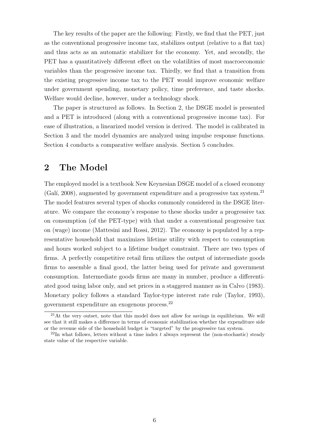The key results of the paper are the following: Firstly, we find that the PET, just as the conventional progressive income tax, stabilizes output (relative to a flat tax) and thus acts as an automatic stabilizer for the economy. Yet, and secondly, the PET has a quantitatively different effect on the volatilities of most macroeconomic variables than the progressive income tax. Thirdly, we find that a transition from the existing progressive income tax to the PET would improve economic welfare under government spending, monetary policy, time preference, and taste shocks. Welfare would decline, however, under a technology shock.

The paper is structured as follows. In Section 2, the DSGE model is presented and a PET is introduced (along with a conventional progressive income tax). For ease of illustration, a linearized model version is derived. The model is calibrated in Section 3 and the model dynamics are analyzed using impulse response functions. Section 4 conducts a comparative welfare analysis. Section 5 concludes.

# 2 The Model

The employed model is a textbook New Keynesian DSGE model of a closed economy (Gali, 2008), augmented by government expenditure and a progressive tax system.<sup>21</sup> The model features several types of shocks commonly considered in the DSGE literature. We compare the economy's response to these shocks under a progressive tax on consumption (of the PET-type) with that under a conventional progressive tax on (wage) income (Mattesini and Rossi, 2012). The economy is populated by a representative household that maximizes lifetime utility with respect to consumption and hours worked subject to a lifetime budget constraint. There are two types of firms. A perfectly competitive retail firm utilizes the output of intermediate goods firms to assemble a final good, the latter being used for private and government consumption. Intermediate goods firms are many in number, produce a differentiated good using labor only, and set prices in a staggered manner as in Calvo (1983). Monetary policy follows a standard Taylor-type interest rate rule (Taylor, 1993), government expenditure an exogenous process.<sup>22</sup>

 $21$ At the very outset, note that this model does not allow for savings in equilibrium. We will see that it still makes a difference in terms of economic stabilization whether the expenditure side or the revenue side of the household budget is "targeted" by the progressive tax system.

 $^{22}$ In what follows, letters without a time index t always represent the (non-stochastic) steady state value of the respective variable.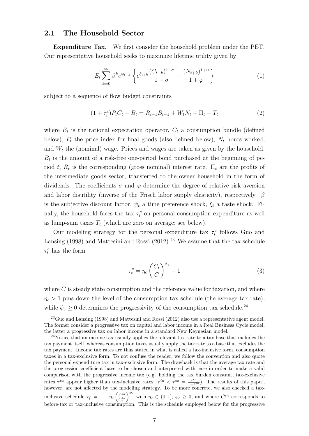### 2.1 The Household Sector

Expenditure Tax. We first consider the household problem under the PET. Our representative household seeks to maximize lifetime utility given by

$$
E_t \sum_{k=0}^{\infty} \beta^k e^{\psi_{t+k}} \left\{ e^{\xi_{t+k}} \frac{(C_{t+k})^{1-\sigma}}{1-\sigma} - \frac{(N_{t+k})^{1+\varphi}}{1+\varphi} \right\} \tag{1}
$$

subject to a sequence of flow budget constraints

$$
(1 + \tau_t^c)P_t C_t + B_t = R_{t-1}B_{t-1} + W_t N_t + \Pi_t - T_t
$$
\n(2)

where  $E_t$  is the rational expectation operator,  $C_t$  a consumption bundle (defined below),  $P_t$  the price index for final goods (also defined below),  $N_t$  hours worked, and  $W_t$  the (nominal) wage. Prices and wages are taken as given by the household.  $B_t$  is the amount of a risk-free one-period bond purchased at the beginning of period t,  $R_t$  is the corresponding (gross nominal) interest rate.  $\Pi_t$  are the profits of the intermediate goods sector, transferred to the owner household in the form of dividends. The coefficients  $\sigma$  and  $\varphi$  determine the degree of relative risk aversion and labor disutility (inverse of the Frisch labor supply elasticity), respectively.  $\beta$ is the subjective discount factor,  $\psi_t$  a time preference shock,  $\xi_t$  a taste shock. Finally, the household faces the tax  $\tau_t^c$  on personal consumption expenditure as well as lump-sum taxes  $T_t$  (which are zero on average; see below).

Our modeling strategy for the personal expenditure tax  $\tau_t^c$  follows Guo and Lansing (1998) and Mattesini and Rossi  $(2012).^{23}$  We assume that the tax schedule  $\tau^c_t$  has the form

$$
\tau_t^c = \eta_c \left(\frac{C_t}{C}\right)^{\phi_c} - 1 \tag{3}
$$

where  $C$  is steady state consumption and the reference value for taxation, and where  $\eta_c > 1$  pins down the level of the consumption tax schedule (the average tax rate), while  $\phi_c \geq 0$  determines the progressivity of the consumption tax schedule.<sup>24</sup>

 $^{23}$ Guo and Lansing (1998) and Mattesini and Rossi (2012) also use a representative agent model. The former consider a progressive tax on capital and labor income in a Real Business Cycle model, the latter a progressive tax on labor income in a standard New Keynesian model.

<sup>&</sup>lt;sup>24</sup>Notice that an income tax usually applies the relevant tax rate to a tax base that includes the tax payment itself, whereas consumption taxes usually apply the tax rate to a base that excludes the tax payment. Income tax rates are thus stated in what is called a tax-inclusive form, consumption taxes in a tax-exclusive form. To not confuse the reader, we follow the convention and also quote the personal expenditure tax in tax-exclusive form. The drawback is that the average tax rate and the progression coefficient have to be chosen and interpreted with care in order to make a valid comparison with the progressive income tax (e.g. holding the tax burden constant, tax-exclusive rates  $\tau^{ex}$  appear higher than tax-inclusive rates:  $\tau^{in} < \tau^{ex} = \frac{\tau^{in}}{1-\tau^{in}}$ ). The results of this paper, however, are not affected by the modeling strategy. To be more concrete, we also checked a tax-<br>however, are not affected by the modeling strategy. To be more concrete, we also checked a taxinclusive schedule  $\tau_t^c = 1 - \eta_c \left( \frac{C^{in}}{C^{in}} \right)$  $\overline{C_t^{in}}$  $\int_{0}^{\phi_c}$  with  $\eta_c \in (0,1], \phi_c \geq 0$ , and where  $C^{in}$  corresponds to before-tax or tax-inclusive consumption. This is the schedule employed below for the progressive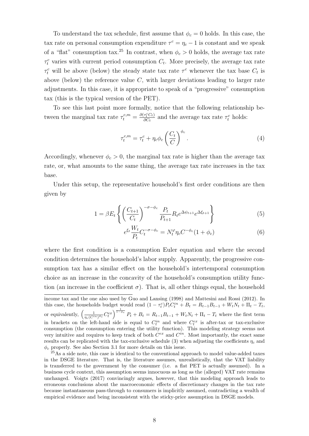To understand the tax schedule, first assume that  $\phi_c = 0$  holds. In this case, the tax rate on personal consumption expenditure  $\tau^c = \eta_c - 1$  is constant and we speak of a "flat" consumption tax.<sup>25</sup> In contrast, when  $\phi_c > 0$  holds, the average tax rate  $\tau_t^c$  varies with current period consumption  $C_t$ . More precisely, the average tax rate  $\tau_t^c$  will be above (below) the steady state tax rate  $\tau^c$  whenever the tax base  $C_t$  is above (below) the reference value  $C$ , with larger deviations leading to larger rate adjustments. In this case, it is appropriate to speak of a "progressive" consumption tax (this is the typical version of the PET).

To see this last point more formally, notice that the following relationship between the marginal tax rate  $\tau_t^{c,m} = \frac{\partial(\tau_t^c C_t)}{\partial C_t}$  $\frac{\tau_t^c C_t}{\partial C_t}$  and the average tax rate  $\tau_t^c$  holds:

$$
\tau_t^{c,m} = \tau_t^c + \eta_c \phi_c \left(\frac{C_t}{C}\right)^{\phi_c}.
$$
\n(4)

Accordingly, whenever  $\phi_c > 0$ , the marginal tax rate is higher than the average tax rate, or, what amounts to the same thing, the average tax rate increases in the tax base.

Under this setup, the representative household's first order conditions are then given by

$$
1 = \beta E_t \left\{ \left( \frac{C_{t+1}}{C_t} \right)^{-\sigma - \phi_c} \frac{P_t}{P_{t+1}} R_t e^{\Delta \psi_{t+1}} e^{\Delta \xi_{t+1}} \right\}
$$
(5)

$$
e^{\xi_t} \frac{W_t}{P_t} C_t^{-\sigma - \phi_c} = N_t^{\varphi} \eta_c C^{-\phi_c} (1 + \phi_c)
$$
 (6)

where the first condition is a consumption Euler equation and where the second condition determines the household's labor supply. Apparently, the progressive consumption tax has a similar effect on the household's intertemporal consumption choice as an increase in the concavity of the household's consumption utility function (an increase in the coefficient  $\sigma$ ). That is, all other things equal, the household

income tax and the one also used by Guo and Lansing (1998) and Mattesini and Rossi (2012). In this case, the households budget would read  $(1 - \tau_t^c)P_tC_t^{in} + B_t = R_{t-1}B_{t-1} + W_tN_t + \Pi_t - T_t$ , or equivalently,  $\left(\frac{1}{\eta_c(C^{in})^{\phi_c}}C_t^{ex}\right)^{\frac{1}{1-\phi_c}}P_t + B_t = R_{t-1}B_{t-1} + W_tN_t + \Pi_t - T_t$  where the first term in brackets on the left-hand side is equal to  $C_t^{in}$  and where  $C_t^{ex}$  is after-tax or tax-exclusive consumption (the consumption entering the utility function). This modeling strategy seems not very intuitive and requires to keep track of both  $C^{ex}$  and  $C^{in}$ . Most importantly, the exact same results can be replicated with the tax-exclusive schedule (3) when adjusting the coefficients  $\eta_c$  and  $\phi_c$  properly. See also Section 3.1 for more details on this issue.

<sup>&</sup>lt;sup>25</sup>As a side note, this case is identical to the conventional approach to model value-added taxes in the DSGE literature. That is, the literature assumes, unrealistically, that the VAT liability is transferred to the government by the consumer (i.e. a flat PET is actually assumed). In a business cycle context, this assumption seems innocuous as long as the (alleged) VAT rate remains unchanged. Voigts (2017) convincingly argues, however, that this modeling approach leads to erroneous conclusions about the macroeconomic effects of discretionary changes in the tax rate because instantaneous pass-through to consumers is implicitly assumed, contradicting a wealth of empirical evidence and being inconsistent with the sticky-price assumption in DSGE models.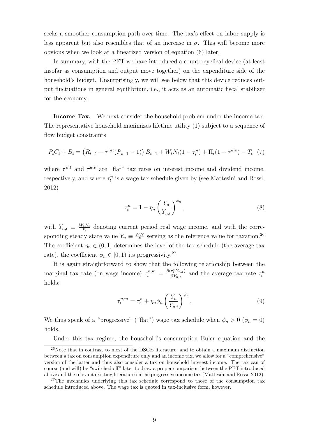seeks a smoother consumption path over time. The tax's effect on labor supply is less apparent but also resembles that of an increase in  $\sigma$ . This will become more obvious when we look at a linearized version of equation (6) later.

In summary, with the PET we have introduced a countercyclical device (at least insofar as consumption and output move together) on the expenditure side of the household's budget. Unsurprisingly, we will see below that this device reduces output fluctuations in general equilibrium, i.e., it acts as an automatic fiscal stabilizer for the economy.

Income Tax. We next consider the household problem under the income tax. The representative household maximizes lifetime utility (1) subject to a sequence of flow budget constraints

$$
P_t C_t + B_t = (R_{t-1} - \tau^{int}(R_{t-1} - 1)) B_{t-1} + W_t N_t (1 - \tau_t^n) + \Pi_t (1 - \tau^{div}) - T_t (7)
$$

where  $\tau^{int}$  and  $\tau^{div}$  are "flat" tax rates on interest income and dividend income, respectively, and where  $\tau_t^n$  is a wage tax schedule given by (see Mattesini and Rossi, 2012)

$$
\tau_t^n = 1 - \eta_n \left(\frac{Y_n}{Y_{n,t}}\right)^{\phi_n},\tag{8}
$$

with  $Y_{n,t} \equiv \frac{W_t N_t}{P_t}$  $\frac{P_t N_t}{P_t}$  denoting current period real wage income, and with the corresponding steady state value  $Y_n \equiv \frac{WN}{P}$  $\frac{V N}{P}$  serving as the reference value for taxation.<sup>26</sup> The coefficient  $\eta_n \in (0,1]$  determines the level of the tax schedule (the average tax rate), the coefficient  $\phi_n \in [0,1)$  its progressivity.<sup>27</sup>

It is again straightforward to show that the following relationship between the marginal tax rate (on wage income)  $\tau_t^{n,m} = \frac{\partial(\tau_t^n Y_{n,t})}{\partial Y_{n,t}}$  $\frac{\tau_t^{\mu} Y_{n,t}}{\partial Y_{n,t}}$  and the average tax rate  $\tau_t^n$ holds:

$$
\tau_t^{n,m} = \tau_t^n + \eta_n \phi_n \left(\frac{Y_n}{Y_{n,t}}\right)^{\phi_n}.
$$
\n(9)

We thus speak of a "progressive" ("flat") wage tax schedule when  $\phi_n > 0$  ( $\phi_n = 0$ ) holds.

Under this tax regime, the household's consumption Euler equation and the

 $^{26}$ Note that in contrast to most of the DSGE literature, and to obtain a maximum distinction between a tax on consumption expenditure only and an income tax, we allow for a "comprehensive" version of the latter and thus also consider a tax on household interest income. The tax can of course (and will) be "switched off" later to draw a proper comparison between the PET introduced above and the relevant existing literature on the progressive income tax (Mattesini and Rossi, 2012).

<sup>&</sup>lt;sup>27</sup>The mechanics underlying this tax schedule correspond to those of the consumption tax schedule introduced above. The wage tax is quoted in tax-inclusive form, however.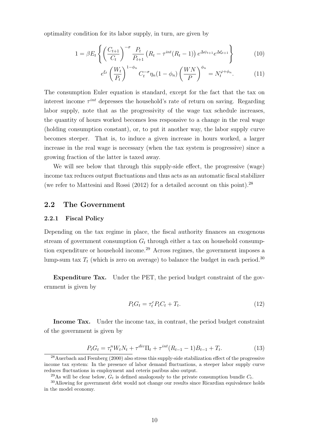optimality condition for its labor supply, in turn, are given by

$$
1 = \beta E_t \left\{ \left( \frac{C_{t+1}}{C_t} \right)^{-\sigma} \frac{P_t}{P_{t+1}} \left( R_t - \tau^{int} (R_t - 1) \right) e^{\Delta \psi_{t+1}} e^{\Delta \xi_{t+1}} \right\}
$$
(10)

$$
e^{\xi_t} \left(\frac{W_t}{P_t}\right)^{1-\phi_n} C_t^{-\sigma} \eta_n (1-\phi_n) \left(\frac{WN}{P}\right)^{\phi_n} = N_t^{\varphi+\phi_n}.
$$
 (11)

The consumption Euler equation is standard, except for the fact that the tax on interest income  $\tau^{int}$  depresses the household's rate of return on saving. Regarding labor supply, note that as the progressivity of the wage tax schedule increases, the quantity of hours worked becomes less responsive to a change in the real wage (holding consumption constant), or, to put it another way, the labor supply curve becomes steeper. That is, to induce a given increase in hours worked, a larger increase in the real wage is necessary (when the tax system is progressive) since a growing fraction of the latter is taxed away.

We will see below that through this supply-side effect, the progressive (wage) income tax reduces output fluctuations and thus acts as an automatic fiscal stabilizer (we refer to Mattesini and Rossi (2012) for a detailed account on this point).<sup>28</sup>

#### 2.2 The Government

#### 2.2.1 Fiscal Policy

Depending on the tax regime in place, the fiscal authority finances an exogenous stream of government consumption  $G_t$  through either a tax on household consumption expenditure or household income.<sup>29</sup> Across regimes, the government imposes a lump-sum tax  $T_t$  (which is zero on average) to balance the budget in each period.<sup>30</sup>

Expenditure Tax. Under the PET, the period budget constraint of the government is given by

$$
P_t G_t = \tau_t^c P_t C_t + T_t. \tag{12}
$$

Income Tax. Under the income tax, in contrast, the period budget constraint of the government is given by

$$
P_t G_t = \tau_t^n W_t N_t + \tau^{div} \Pi_t + \tau^{int} (R_{t-1} - 1) B_{t-1} + T_t.
$$
\n(13)

<sup>&</sup>lt;sup>28</sup> Auerbach and Feenberg (2000) also stress this supply-side stabilization effect of the progressive income tax system: In the presence of labor demand fluctuations, a steeper labor supply curve reduces fluctuations in employment and ceteris paribus also output.

<sup>&</sup>lt;sup>29</sup>As will be clear below,  $G_t$  is defined analogously to the private consumption bundle  $C_t$ .

<sup>&</sup>lt;sup>30</sup>Allowing for government debt would not change our results since Ricardian equivalence holds in the model economy.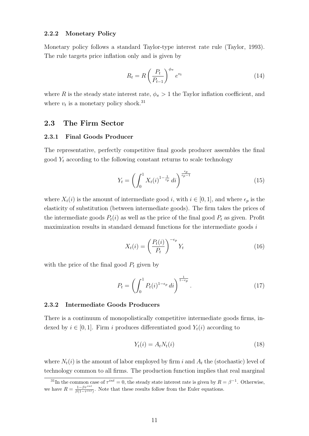#### 2.2.2 Monetary Policy

Monetary policy follows a standard Taylor-type interest rate rule (Taylor, 1993). The rule targets price inflation only and is given by

$$
R_t = R \left(\frac{P_t}{P_{t-1}}\right)^{\phi_{\pi}} e^{v_t} \tag{14}
$$

where R is the steady state interest rate,  $\phi_{\pi} > 1$  the Taylor inflation coefficient, and where  $v_t$  is a monetary policy shock.<sup>31</sup>

## 2.3 The Firm Sector

#### 2.3.1 Final Goods Producer

The representative, perfectly competitive final goods producer assembles the final good  $Y_t$  according to the following constant returns to scale technology

$$
Y_t = \left(\int_0^1 X_t(i)^{1 - \frac{1}{\epsilon_p}} di\right)^{\frac{\epsilon_p}{\epsilon_p - 1}}
$$
(15)

where  $X_t(i)$  is the amount of intermediate good i, with  $i \in [0,1]$ , and where  $\epsilon_p$  is the elasticity of substitution (between intermediate goods). The firm takes the prices of the intermediate goods  $P_t(i)$  as well as the price of the final good  $P_t$  as given. Profit maximization results in standard demand functions for the intermediate goods  $i$ 

$$
X_t(i) = \left(\frac{P_t(i)}{P_t}\right)^{-\epsilon_p} Y_t
$$
\n(16)

with the price of the final good  $P_t$  given by

$$
P_t = \left(\int_0^1 P_t(i)^{1-\epsilon_p} \, di\right)^{\frac{1}{1-\epsilon_p}}.\tag{17}
$$

#### 2.3.2 Intermediate Goods Producers

There is a continuum of monopolistically competitive intermediate goods firms, indexed by  $i \in [0, 1]$ . Firm i produces differentiated good  $Y_t(i)$  according to

$$
Y_t(i) = A_t N_t(i) \tag{18}
$$

where  $N_t(i)$  is the amount of labor employed by firm i and  $A_t$  the (stochastic) level of technology common to all firms. The production function implies that real marginal

<sup>&</sup>lt;sup>31</sup>In the common case of  $\tau^{int} = 0$ , the steady state interest rate is given by  $R = \beta^{-1}$ . Otherwise, we have  $R = \frac{1-\beta\tau^{int}}{\beta(1-\tau^{int})}$ . Note that these results follow from the Euler equations.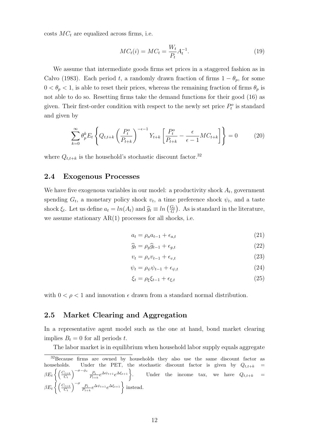costs  $MC<sub>t</sub>$  are equalized across firms, i.e.

$$
MC_t(i) = MC_t = \frac{W_t}{P_t} A_t^{-1}.
$$
\n(19)

We assume that intermediate goods firms set prices in a staggered fashion as in Calvo (1983). Each period t, a randomly drawn fraction of firms  $1 - \theta_p$ , for some  $0 < \theta_p < 1$ , is able to reset their prices, whereas the remaining fraction of firms  $\theta_p$  is not able to do so. Resetting firms take the demand functions for their good (16) as given. Their first-order condition with respect to the newly set price  $P_t^o$  is standard and given by

$$
\sum_{k=0}^{\infty} \theta_p^k E_t \left\{ Q_{t,t+k} \left( \frac{P_t^o}{P_{t+k}} \right)^{-\epsilon-1} Y_{t+k} \left[ \frac{P_t^o}{P_{t+k}} - \frac{\epsilon}{\epsilon - 1} M C_{t+k} \right] \right\} = 0 \tag{20}
$$

where  $Q_{t,t+k}$  is the household's stochastic discount factor.<sup>32</sup>

### 2.4 Exogenous Processes

We have five exogenous variables in our model: a productivity shock  $A_t$ , government spending  $G_t$ , a monetary policy shock  $v_t$ , a time preference shock  $\psi_t$ , and a taste shock  $\xi_t$ . Let us define  $a_t = ln(A_t)$  and  $\widehat{g}_t \equiv ln\left(\frac{G_t}{G}\right)$  $\frac{G_t}{G}$ ). As is standard in the literature, we assume stationary  $AR(1)$  processes for all shocks, i.e.

$$
a_t = \rho_a a_{t-1} + \epsilon_{a,t} \tag{21}
$$

$$
\widehat{g}_t = \rho_g \widehat{g}_{t-1} + \epsilon_{g,t} \tag{22}
$$

$$
v_t = \rho_v v_{t-1} + \epsilon_{v,t} \tag{23}
$$

$$
\psi_t = \rho_\psi \psi_{t-1} + \epsilon_{\psi, t} \tag{24}
$$

$$
\xi_t = \rho_{\xi} \xi_{t-1} + \epsilon_{\xi, t} \tag{25}
$$

with  $0 < \rho < 1$  and innovation  $\epsilon$  drawn from a standard normal distribution.

### 2.5 Market Clearing and Aggregation

In a representative agent model such as the one at hand, bond market clearing implies  $B_t = 0$  for all periods t.

The labor market is in equilibrium when household labor supply equals aggregate

<sup>32</sup>Because firms are owned by households they also use the same discount factor as households. Under the PET, the stochastic discount factor is given by  $Q_{t,t+k}$  =  $\beta E_t\left\{\left(\frac{C_{t+k}}{C_t}\right)$  $\left\{ \frac{C_{t+k}}{C_t} \right\}^{-\sigma-\phi_c} \frac{P_t}{P_{t+k}} e^{\Delta \psi_{t+1}} e^{\Delta \xi_{t+1}}.$ Under the income tax, we have  $Q_{t,t+k}$  =  $\beta E_t\left\{\left(\frac{C_{t+k}}{C_t}\right)$  $\left(\frac{C_{t+k}}{C_t}\right)^{-\sigma} \frac{P_t}{P_{t+k}} e^{\Delta \psi_{t+1}} e^{\Delta \xi_{t+1}}$  instead.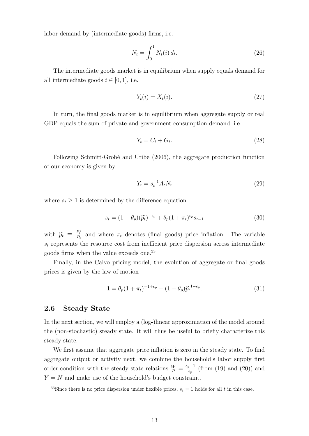labor demand by (intermediate goods) firms, i.e.

$$
N_t = \int_0^1 N_t(i) \, di. \tag{26}
$$

The intermediate goods market is in equilibrium when supply equals demand for all intermediate goods  $i \in [0, 1]$ , i.e.

$$
Y_t(i) = X_t(i). \tag{27}
$$

In turn, the final goods market is in equilibrium when aggregate supply or real GDP equals the sum of private and government consumption demand, i.e.

$$
Y_t = C_t + G_t. \tag{28}
$$

Following Schmitt-Grohé and Uribe (2006), the aggregate production function of our economy is given by

$$
Y_t = s_t^{-1} A_t N_t \tag{29}
$$

where  $s_t \geq 1$  is determined by the difference equation

$$
s_t = (1 - \theta_p)(\tilde{p}_t)^{-\epsilon_p} + \theta_p (1 + \pi_t)^{\epsilon_p} s_{t-1}
$$
\n(30)

with  $\widetilde{p}_t \equiv \frac{P_t^o}{P_t}$  and where  $\pi_t$  denotes (final goods) price inflation. The variable  $s_t$  represents the resource cost from inefficient price dispersion across intermediate goods firms when the value exceeds one.<sup>33</sup>

Finally, in the Calvo pricing model, the evolution of aggregate or final goods prices is given by the law of motion

$$
1 = \theta_p (1 + \pi_t)^{-1 + \epsilon_p} + (1 - \theta_p) \tilde{p}_t^{1 - \epsilon_p}.
$$
 (31)

### 2.6 Steady State

In the next section, we will employ a (log-)linear approximation of the model around the (non-stochastic) steady state. It will thus be useful to briefly characterize this steady state.

We first assume that aggregate price inflation is zero in the steady state. To find aggregate output or activity next, we combine the household's labor supply first order condition with the steady state relations  $\frac{W}{P} = \frac{\epsilon_p - 1}{\epsilon_p}$  $\frac{p-1}{\epsilon_p}$  (from (19) and (20)) and  $Y = N$  and make use of the household's budget constraint.

<sup>&</sup>lt;sup>33</sup>Since there is no price dispersion under flexible prices,  $s_t = 1$  holds for all t in this case.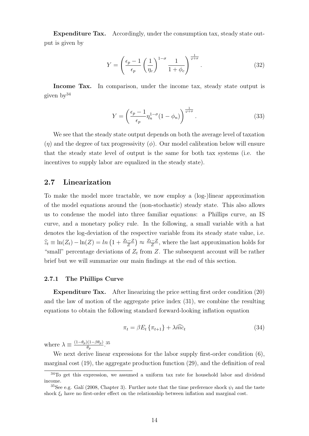Expenditure Tax. Accordingly, under the consumption tax, steady state output is given by

$$
Y = \left(\frac{\epsilon_p - 1}{\epsilon_p} \left(\frac{1}{\eta_c}\right)^{1-\sigma} \frac{1}{1+\phi_c}\right)^{\frac{1}{\varphi+\sigma}}.
$$
\n(32)

Income Tax. In comparison, under the income tax, steady state output is given by<sup>34</sup>

$$
Y = \left(\frac{\epsilon_p - 1}{\epsilon_p} \eta_n^{1 - \sigma} (1 - \phi_n)\right)^{\frac{1}{\varphi + \sigma}}.
$$
\n(33)

We see that the steady state output depends on both the average level of taxation  $(\eta)$  and the degree of tax progressivity  $(\phi)$ . Our model calibration below will ensure that the steady state level of output is the same for both tax systems (i.e. the incentives to supply labor are equalized in the steady state).

### 2.7 Linearization

To make the model more tractable, we now employ a (log-)linear approximation of the model equations around the (non-stochastic) steady state. This also allows us to condense the model into three familiar equations: a Phillips curve, an IS curve, and a monetary policy rule. In the following, a small variable with a hat denotes the log-deviation of the respective variable from its steady state value, i.e.  $\widehat{z}_t \equiv \ln(Z_t) - \ln(Z) = \ln\left(1 + \frac{Z_t - Z}{Z}\right) \approx \frac{Z_t - Z}{Z}$  $\frac{z-Z}{Z}$ , where the last approximation holds for "small" percentage deviations of  $Z_t$  from Z. The subsequent account will be rather brief but we will summarize our main findings at the end of this section.

#### 2.7.1 The Phillips Curve

Expenditure Tax. After linearizing the price setting first order condition (20) and the law of motion of the aggregate price index (31), we combine the resulting equations to obtain the following standard forward-looking inflation equation

$$
\pi_t = \beta E_t \left\{ \pi_{t+1} \right\} + \lambda \widehat{mc}_t \tag{34}
$$

where  $\lambda \equiv \frac{(1-\theta_p)(1-\beta\theta_p)}{\theta}$  $\frac{\theta(p- \beta \theta_p)}{\theta_p}.35$ 

We next derive linear expressions for the labor supply first-order condition  $(6)$ , marginal cost (19), the aggregate production function (29), and the definition of real

<sup>&</sup>lt;sup>34</sup>To get this expression, we assumed a uniform tax rate for household labor and dividend income.

<sup>&</sup>lt;sup>35</sup>See e.g. Galí (2008, Chapter 3). Further note that the time preference shock  $\psi_t$  and the taste shock  $\xi_t$  have no first-order effect on the relationship between inflation and marginal cost.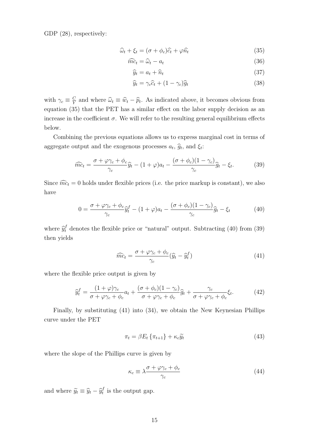GDP  $(28)$ , respectively:

$$
\widehat{\omega}_t + \xi_t = (\sigma + \phi_c)\widehat{c}_t + \varphi \widehat{n}_t \tag{35}
$$

$$
\widehat{mc}_t = \widehat{\omega}_t - a_t \tag{36}
$$

$$
\widehat{y}_t = a_t + \widehat{n}_t \tag{37}
$$

$$
\widehat{y}_t = \gamma_c \widehat{c}_t + (1 - \gamma_c) \widehat{g}_t \tag{38}
$$

with  $\gamma_c \equiv \frac{C}{Y}$  $\frac{C}{Y}$  and where  $\hat{\omega}_t \equiv \hat{w}_t - \hat{p}_t$ . As indicated above, it becomes obvious from equation (35) that the PET has a similar effect on the labor supply decision as an increase in the coefficient  $\sigma$ . We will refer to the resulting general equilibrium effects below.

Combining the previous equations allows us to express marginal cost in terms of aggregate output and the exogenous processes  $a_t$ ,  $\hat{g}_t$ , and  $\xi_t$ :

$$
\widehat{mc}_t = \frac{\sigma + \varphi \gamma_c + \phi_c}{\gamma_c} \widehat{y}_t - (1 + \varphi)a_t - \frac{(\sigma + \phi_c)(1 - \gamma_c)}{\gamma_c} \widehat{g}_t - \xi_t.
$$
 (39)

Since  $\widehat{mc}_t = 0$  holds under flexible prices (i.e. the price markup is constant), we also have

$$
0 = \frac{\sigma + \varphi \gamma_c + \phi_c}{\gamma_c} \widehat{y}_t^f - (1 + \varphi)a_t - \frac{(\sigma + \phi_c)(1 - \gamma_c)}{\gamma_c} \widehat{g}_t - \xi_t \tag{40}
$$

where  $\hat{y}_t^f$  denotes the flexible price or "natural" output. Subtracting (40) from (39) then yields

$$
\widehat{mc}_t = \frac{\sigma + \varphi \gamma_c + \phi_c}{\gamma_c} (\widehat{y}_t - \widehat{y}_t^f)
$$
\n(41)

where the flexible price output is given by

$$
\widehat{y}_t^f = \frac{(1+\varphi)\gamma_c}{\sigma + \varphi\gamma_c + \phi_c} a_t + \frac{(\sigma + \phi_c)(1-\gamma_c)}{\sigma + \varphi\gamma_c + \phi_c} \widehat{g}_t + \frac{\gamma_c}{\sigma + \varphi\gamma_c + \phi_c} \xi_t.
$$
\n(42)

Finally, by substituting (41) into (34), we obtain the New Keynesian Phillips curve under the PET

$$
\pi_t = \beta E_t \left\{ \pi_{t+1} \right\} + \kappa_c \widetilde{y}_t \tag{43}
$$

where the slope of the Phillips curve is given by

$$
\kappa_c \equiv \lambda \frac{\sigma + \varphi \gamma_c + \phi_c}{\gamma_c} \tag{44}
$$

and where  $\widetilde{y}_t \equiv \widehat{y}_t - \widehat{y}_t^f$  $t$ <sup>t</sup> is the output gap.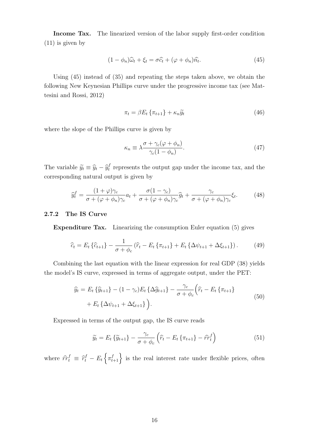Income Tax. The linearized version of the labor supply first-order condition (11) is given by

$$
(1 - \phi_n)\widehat{\omega}_t + \xi_t = \sigma \widehat{c}_t + (\varphi + \phi_n)\widehat{n}_t.
$$
\n(45)

Using (45) instead of (35) and repeating the steps taken above, we obtain the following New Keynesian Phillips curve under the progressive income tax (see Mattesini and Rossi, 2012)

$$
\pi_t = \beta E_t \left\{ \pi_{t+1} \right\} + \kappa_n \widetilde{y}_t \tag{46}
$$

where the slope of the Phillips curve is given by

$$
\kappa_n \equiv \lambda \frac{\sigma + \gamma_c (\varphi + \phi_n)}{\gamma_c (1 - \phi_n)}.
$$
\n(47)

The variable  $\widetilde{y}_t \equiv \widehat{y}_t - \widehat{y}_t^f$  $t_t^f$  represents the output gap under the income tax, and the corresponding natural output is given by

$$
\widehat{y}_t^f = \frac{(1+\varphi)\gamma_c}{\sigma + (\varphi + \phi_n)\gamma_c} a_t + \frac{\sigma(1-\gamma_c)}{\sigma + (\varphi + \phi_n)\gamma_c} \widehat{g}_t + \frac{\gamma_c}{\sigma + (\varphi + \phi_n)\gamma_c} \xi_t.
$$
 (48)

#### 2.7.2 The IS Curve

Expenditure Tax. Linearizing the consumption Euler equation (5) gives

$$
\hat{c}_t = E_t \left\{ \hat{c}_{t+1} \right\} - \frac{1}{\sigma + \phi_c} \left( \hat{r}_t - E_t \left\{ \pi_{t+1} \right\} + E_t \left\{ \Delta \psi_{t+1} + \Delta \xi_{t+1} \right\} \right). \tag{49}
$$

Combining the last equation with the linear expression for real GDP (38) yields the model's IS curve, expressed in terms of aggregate output, under the PET:

$$
\hat{y}_t = E_t \{ \hat{y}_{t+1} \} - (1 - \gamma_c) E_t \{ \Delta \hat{y}_{t+1} \} - \frac{\gamma_c}{\sigma + \phi_c} \left( \hat{r}_t - E_t \{ \pi_{t+1} \} + E_t \{ \Delta \psi_{t+1} + \Delta \xi_{t+1} \} \right).
$$
\n(50)

Expressed in terms of the output gap, the IS curve reads

$$
\widetilde{y}_t = E_t \left\{ \widetilde{y}_{t+1} \right\} - \frac{\gamma_c}{\sigma + \phi_c} \left( \widehat{r}_t - E_t \left\{ \pi_{t+1} \right\} - \widehat{rr}_t^f \right) \tag{51}
$$

where  $\hat{r}t^f \equiv \hat{r}^f_t - E_t \left\{ \pi^f_{t+1} \right\}$  is the real interest rate under flexible prices, often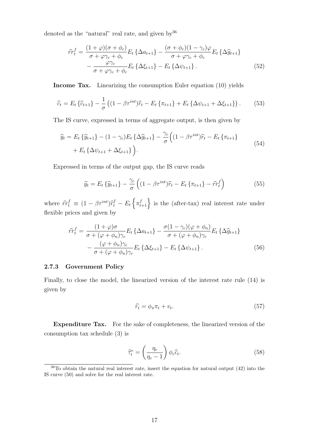denoted as the "natural" real rate, and given by 36

$$
\hat{rr}_t^f = \frac{(1+\varphi)(\sigma+\phi_c)}{\sigma+\varphi\gamma_c+\phi_c} E_t \left\{ \Delta a_{t+1} \right\} - \frac{(\sigma+\phi_c)(1-\gamma_c)\varphi}{\sigma+\varphi\gamma_c+\phi_c} E_t \left\{ \Delta \hat{g}_{t+1} \right\} \n- \frac{\varphi\gamma_c}{\sigma+\varphi\gamma_c+\phi_c} E_t \left\{ \Delta \xi_{t+1} \right\} - E_t \left\{ \Delta \psi_{t+1} \right\}.
$$
\n(52)

Income Tax. Linearizing the consumption Euler equation (10) yields

$$
\hat{c}_t = E_t \left\{ \hat{c}_{t+1} \right\} - \frac{1}{\sigma} \left( (1 - \beta \tau^{int}) \hat{r}_t - E_t \left\{ \pi_{t+1} \right\} + E_t \left\{ \Delta \psi_{t+1} + \Delta \xi_{t+1} \right\} \right). \tag{53}
$$

The IS curve, expressed in terms of aggregate output, is then given by

$$
\hat{y}_t = E_t \{ \hat{y}_{t+1} \} - (1 - \gamma_c) E_t \{ \Delta \hat{g}_{t+1} \} - \frac{\gamma_c}{\sigma} \Big( (1 - \beta \tau^{int}) \hat{r}_t - E_t \{ \pi_{t+1} \} + E_t \{ \Delta \psi_{t+1} + \Delta \xi_{t+1} \} \Big).
$$
\n(54)

Expressed in terms of the output gap, the IS curve reads

$$
\widetilde{y}_t = E_t \{ \widetilde{y}_{t+1} \} - \frac{\gamma_c}{\sigma} \left( (1 - \beta \tau^{int}) \widehat{r}_t - E_t \{ \pi_{t+1} \} - \widehat{r} \widehat{r}_t^f \right) \tag{55}
$$

where  $\hat{r}t_t^f \equiv (1 - \beta \tau^{int})\hat{r}_t^f - E_t \left\{ \pi_{t+1}^f \right\}$  is the (after-tax) real interest rate under flexible prices and given by

$$
\hat{rr}_t^f = \frac{(1+\varphi)\sigma}{\sigma + (\varphi + \phi_n)\gamma_c} E_t \left\{ \Delta a_{t+1} \right\} - \frac{\sigma(1-\gamma_c)(\varphi + \phi_n)}{\sigma + (\varphi + \phi_n)\gamma_c} E_t \left\{ \Delta \hat{g}_{t+1} \right\} \n- \frac{(\varphi + \phi_n)\gamma_c}{\sigma + (\varphi + \phi_n)\gamma_c} E_t \left\{ \Delta \xi_{t+1} \right\} - E_t \left\{ \Delta \psi_{t+1} \right\}.
$$
\n(56)

#### 2.7.3 Government Policy

Finally, to close the model, the linearized version of the interest rate rule (14) is given by

$$
\widehat{r}_t = \phi_\pi \pi_t + v_t. \tag{57}
$$

Expenditure Tax. For the sake of completeness, the linearized version of the consumption tax schedule (3) is

$$
\widehat{\tau}_t^c = \left(\frac{\eta_c}{\eta_c - 1}\right) \phi_c \widehat{c}_t. \tag{58}
$$

 $36$ To obtain the natural real interest rate, insert the equation for natural output  $(42)$  into the IS curve (50) and solve for the real interest rate.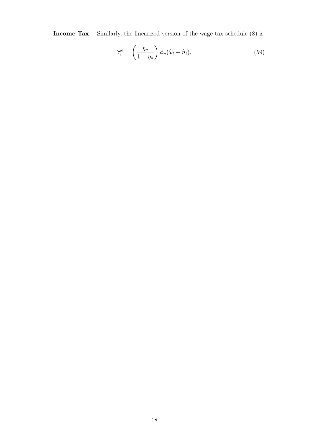Income Tax. Similarly, the linearized version of the wage tax schedule (8) is

$$
\widehat{\tau}_t^n = \left(\frac{\eta_n}{1 - \eta_n}\right) \phi_n(\widehat{\omega}_t + \widehat{n}_t). \tag{59}
$$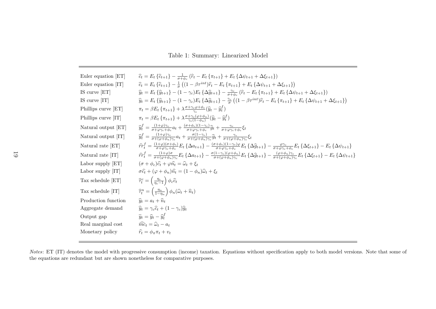Table 1: Summary: Linearized Model

| Euler equation [ET] | $\hat{c}_t = E_t \left\{ \hat{c}_{t+1} \right\} - \frac{1}{\sigma + \phi} \left( \hat{r}_t - E_t \left\{ \pi_{t+1} \right\} + E_t \left\{ \Delta \psi_{t+1} + \Delta \xi_{t+1} \right\} \right)$                                                                                                                                                                                        |
|---------------------|-----------------------------------------------------------------------------------------------------------------------------------------------------------------------------------------------------------------------------------------------------------------------------------------------------------------------------------------------------------------------------------------|
| Euler equation [IT] | $\hat{c}_t = E_t \{ \hat{c}_{t+1} \} - \frac{1}{\pi} \left( (1 - \beta \tau^{int}) \hat{r}_t - E_t \{ \pi_{t+1} \} + E_t \{ \Delta \psi_{t+1} + \Delta \xi_{t+1} \} \right)$                                                                                                                                                                                                            |
| IS curve $[ET]$     | $\hat{y}_t = E_t \left\{ \hat{y}_{t+1} \right\} - (1 - \gamma_c) E_t \left\{ \Delta \hat{g}_{t+1} \right\} - \frac{\gamma_c}{\sigma + \phi_c} \left( \hat{r}_t - E_t \left\{ \pi_{t+1} \right\} + E_t \left\{ \Delta \psi_{t+1} + \Delta \xi_{t+1} \right\} \right)$                                                                                                                    |
| IS curve [IT]       | $\widehat{y}_t = E_t \{ \widehat{y}_{t+1} \} - (1 - \gamma_c) E_t \{ \Delta \widehat{g}_{t+1} \} - \frac{\gamma_c}{\sigma} \left( (1 - \beta \tau^{int}) \widehat{r}_t - E_t \{ \pi_{t+1} \} + E_t \{ \Delta \psi_{t+1} + \Delta \xi_{t+1} \} \right)$                                                                                                                                  |
| Phillips curve [ET] | $\pi_t = \beta E_t \left\{ \pi_{t+1} \right\} + \lambda \frac{\sigma + \gamma_c \varphi + \phi_c}{\gamma} (\widehat{y}_t - \widehat{y}_t^f)$                                                                                                                                                                                                                                            |
| Phillips curve [IT] | $\pi_t = \beta E_t \left\{ \pi_{t+1} \right\} + \lambda \frac{\sigma + \gamma_c (\varphi + \phi_n)}{\gamma (1 - \phi)} (\widehat{y}_t - \widehat{y}_t^f)$                                                                                                                                                                                                                               |
| Natural output [ET] | $\hat{y}_t^f = \frac{(1+\varphi)\gamma_c}{\sigma + \varphi\gamma_c + \phi_c} a_t + \frac{(\sigma + \phi_c)(1-\gamma_c)}{\sigma + \varphi\gamma_c + \phi_c} \hat{g}_t + \frac{\gamma_c}{\sigma + \varphi\gamma_c + \phi_c} \xi_t$                                                                                                                                                        |
| Natural output [IT] | $\hat{y}_t^f = \frac{(1+\varphi)\gamma_c}{\sigma+(\varphi+\varphi_c)\gamma_c}a_t + \frac{\sigma(1-\gamma_c)}{\sigma+(\varphi+\varphi_c)\gamma_c}\hat{g}_t + \frac{\gamma_c}{\sigma+(\varphi+\varphi_c)\gamma_c}\xi_t$                                                                                                                                                                   |
| Natural rate [ET]   | $\hat{rr}_t^f = \frac{(1+\varphi)(\sigma+\phi_c)}{\sigma+\varphi\vee\phi} E_t \left\{ \Delta a_{t+1} \right\} - \frac{(\sigma+\phi_c)(1-\gamma_c)\varphi}{\sigma+\varphi\gamma_c+\phi_c} E_t \left\{ \Delta \hat{g}_{t+1} \right\} - \frac{\varphi\gamma_c}{\sigma+\varphi\gamma_c+\phi_c} E_t \left\{ \Delta \xi_{t+1} \right\} - E_t \left\{ \Delta \psi_{t+1} \right\}$              |
| Natural rate [IT]   | $\hat{rr}_t^f = \frac{(1+\varphi)\sigma}{\sigma+(\varphi+\phi_0)\gamma_0} E_t \left\{ \Delta a_{t+1} \right\} - \frac{\sigma(1-\gamma_c)(\varphi+\phi_0)}{\sigma+(\varphi+\phi_0)\gamma_0} E_t \left\{ \Delta \hat{g}_{t+1} \right\} - \frac{(\varphi+\phi_0)\gamma_c}{\sigma+(\varphi+\phi_0)\gamma_0} E_t \left\{ \Delta \xi_{t+1} \right\} - E_t \left\{ \Delta \psi_{t+1} \right\}$ |
| Labor supply [ET]   | $(\sigma + \phi_c)\hat{c_t} + \varphi \hat{n_t} = \hat{\omega}_t + \xi_t$                                                                                                                                                                                                                                                                                                               |
| Labor supply [IT]   | $\sigma\widehat{c}_t + (\varphi + \phi_n)\widehat{n}_t = (1 - \phi_n)\widehat{\omega}_t + \xi_t$                                                                                                                                                                                                                                                                                        |
| Tax schedule [ET]   | $\widehat{\tau}_t^c = \left(\frac{\eta_c}{\eta_c - 1}\right) \phi_c \widehat{c}_t$                                                                                                                                                                                                                                                                                                      |
| Tax schedule [IT]   | $\widehat{\tau}_t^n = \left(\frac{\eta_n}{1-\eta_n}\right) \phi_n(\widehat{\omega}_t + \widehat{n}_t)$                                                                                                                                                                                                                                                                                  |
| Production function | $\widehat{y}_t = a_t + \widehat{n}_t$                                                                                                                                                                                                                                                                                                                                                   |
| Aggregate demand    | $\widehat{y}_t = \gamma_c \widehat{c}_t + (1 - \gamma_c) \widehat{q}_t$                                                                                                                                                                                                                                                                                                                 |
| Output gap          | $\widetilde{y}_t = \widehat{y}_t - \widehat{y}_t^f$                                                                                                                                                                                                                                                                                                                                     |
| Real marginal cost  | $\widehat{mc}_t = \widehat{\omega}_t - a_t$                                                                                                                                                                                                                                                                                                                                             |
| Monetary policy     | $\widehat{r}_t = \phi_\pi \pi_t + v_t$                                                                                                                                                                                                                                                                                                                                                  |
|                     |                                                                                                                                                                                                                                                                                                                                                                                         |

Notes: ET (IT) denotes the model with progressive consumption (income) taxation. Equations without specification apply to both model versions. Note that some of the equations are redundant but are shown nonetheless for comparative purposes.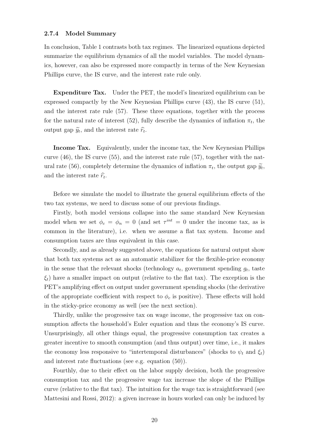#### 2.7.4 Model Summary

In conclusion, Table 1 contrasts both tax regimes. The linearized equations depicted summarize the equilibrium dynamics of all the model variables. The model dynamics, however, can also be expressed more compactly in terms of the New Keynesian Phillips curve, the IS curve, and the interest rate rule only.

Expenditure Tax. Under the PET, the model's linearized equilibrium can be expressed compactly by the New Keynesian Phillips curve (43), the IS curve (51), and the interest rate rule (57). These three equations, together with the process for the natural rate of interest (52), fully describe the dynamics of inflation  $\pi_t$ , the output gap  $\widetilde{y}_t$ , and the interest rate  $\widehat{r}_t$ .

Income Tax. Equivalently, under the income tax, the New Keynesian Phillips curve (46), the IS curve (55), and the interest rate rule (57), together with the natural rate (56), completely determine the dynamics of inflation  $\pi_t$ , the output gap  $\widetilde{y}_t$ , and the interest rate  $\hat{r}_t$ .

Before we simulate the model to illustrate the general equilibrium effects of the two tax systems, we need to discuss some of our previous findings.

Firstly, both model versions collapse into the same standard New Keynesian model when we set  $\phi_c = \phi_n = 0$  (and set  $\tau^{int} = 0$  under the income tax, as is common in the literature), i.e. when we assume a flat tax system. Income and consumption taxes are thus equivalent in this case.

Secondly, and as already suggested above, the equations for natural output show that both tax systems act as an automatic stabilizer for the flexible-price economy in the sense that the relevant shocks (technology  $a_t$ , government spending  $g_t$ , taste  $\xi_t$ ) have a smaller impact on output (relative to the flat tax). The exception is the PET's amplifying effect on output under government spending shocks (the derivative of the appropriate coefficient with respect to  $\phi_c$  is positive). These effects will hold in the sticky-price economy as well (see the next section).

Thirdly, unlike the progressive tax on wage income, the progressive tax on consumption affects the household's Euler equation and thus the economy's IS curve. Unsurprisingly, all other things equal, the progressive consumption tax creates a greater incentive to smooth consumption (and thus output) over time, i.e., it makes the economy less responsive to "intertemporal disturbances" (shocks to  $\psi_t$  and  $\xi_t$ ) and interest rate fluctuations (see e.g. equation (50)).

Fourthly, due to their effect on the labor supply decision, both the progressive consumption tax and the progressive wage tax increase the slope of the Phillips curve (relative to the flat tax). The intuition for the wage tax is straightforward (see Mattesini and Rossi, 2012): a given increase in hours worked can only be induced by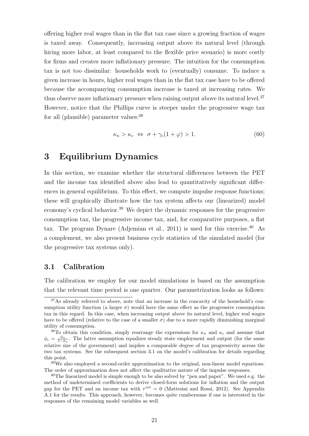offering higher real wages than in the flat tax case since a growing fraction of wages is taxed away. Consequently, increasing output above its natural level (through hiring more labor, at least compared to the flexible price scenario) is more costly for firms and creates more inflationary pressure. The intuition for the consumption tax is not too dissimilar: households work to (eventually) consume. To induce a given increase in hours, higher real wages than in the flat tax case have to be offered because the accompanying consumption increase is taxed at increasing rates. We thus observe more inflationary pressure when raising output above its natural level.<sup>37</sup> However, notice that the Phillips curve is steeper under the progressive wage tax for all (plausible) parameter values:<sup>38</sup>

$$
\kappa_n > \kappa_c \Leftrightarrow \sigma + \gamma_c (1 + \varphi) > 1. \tag{60}
$$

# 3 Equilibrium Dynamics

In this section, we examine whether the structural differences between the PET and the income tax identified above also lead to quantitatively significant differences in general equilibrium. To this effect, we compute impulse response functions; these will graphically illustrate how the tax system affects our (linearized) model economy's cyclical behavior.<sup>39</sup> We depict the dynamic responses for the progressive consumption tax, the progressive income tax, and, for comparative purposes, a flat tax. The program Dynare (Adjemian et al., 2011) is used for this exercise.<sup>40</sup> As a complement, we also present business cycle statistics of the simulated model (for the progressive tax systems only).

## 3.1 Calibration

The calibration we employ for our model simulations is based on the assumption that the relevant time period is one quarter. Our parametrization looks as follows:

<sup>37</sup>As already referred to above, note that an increase in the concavity of the household's consumption utility function (a larger  $\sigma$ ) would have the same effect as the progressive consumption tax in this regard. In this case, when increasing output above its natural level, higher real wages have to be offered (relative to the case of a smaller  $\sigma$ ) due to a more rapidly diminishing marginal utility of consumption.

<sup>&</sup>lt;sup>38</sup>To obtain this condition, simply rearrange the expressions for  $\kappa_n$  and  $\kappa_c$  and assume that  $\phi_c = \frac{\phi_n}{1-\phi_n}$ . The latter assumption equalizes steady state employment and output (for the same relative size of the government) and implies a comparable degree of tax progressivity across the two tax systems. See the subsequent section 3.1 on the model's calibration for details regarding this point.

<sup>39</sup>We also employed a second-order approximation to the original, non-linear model equations. The order of approximation does not affect the qualitative nature of the impulse responses.

 $40$ The linearized model is simple enough to be also solved by "pen and paper". We used e.g. the method of undetermined coefficients to derive closed-form solutions for inflation and the output gap for the PET and an income tax with  $\tau^{int} = 0$  (Mattesini and Rossi, 2012). See Appendix A.1 for the results. This approach, however, becomes quite cumbersome if one is interested in the responses of the remaining model variables as well.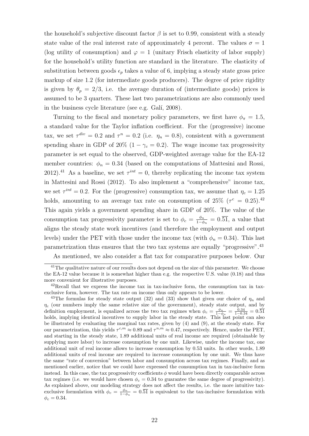the household's subjective discount factor  $\beta$  is set to 0.99, consistent with a steady state value of the real interest rate of approximately 4 percent. The values  $\sigma = 1$ (log utility of consumption) and  $\varphi = 1$  (unitary Frisch elasticity of labor supply) for the household's utility function are standard in the literature. The elasticity of substitution between goods  $\epsilon_p$  takes a value of 6, implying a steady state gross price markup of size 1.2 (for intermediate goods producers). The degree of price rigidity is given by  $\theta_p = 2/3$ , i.e. the average duration of (intermediate goods) prices is assumed to be 3 quarters. These last two parametrizations are also commonly used in the business cycle literature (see e.g. Galí, 2008).

Turning to the fiscal and monetary policy parameters, we first have  $\phi_{\pi} = 1.5$ , a standard value for the Taylor inflation coefficient. For the (progressive) income tax, we set  $\tau^{div} = 0.2$  and  $\tau^n = 0.2$  (i.e.  $\eta_n = 0.8$ ), consistent with a government spending share in GDP of 20% (1 –  $\gamma_c = 0.2$ ). The wage income tax progressivity parameter is set equal to the observed, GDP-weighted average value for the EA-12 member countries:  $\phi_n = 0.34$  (based on the computations of Mattesini and Rossi, 2012).<sup>41</sup> As a baseline, we set  $\tau^{int} = 0$ , thereby replicating the income tax system in Mattesini and Rossi (2012). To also implement a "comprehensive" income tax, we set  $\tau^{int} = 0.2$ . For the (progressive) consumption tax, we assume that  $\eta_c = 1.25$ holds, amounting to an average tax rate on consumption of  $25\%$  ( $\tau^c = 0.25$ ).<sup>42</sup> This again yields a government spending share in GDP of 20%. The value of the consumption tax progressivity parameter is set to  $\phi_c = \frac{\phi_n}{1-d}$  $\frac{\phi_n}{1-\phi_n} = 0.\overline{51}$ , a value that aligns the steady state work incentives (and therefore the employment and output levels) under the PET with those under the income tax (with  $\phi_n = 0.34$ ). This last parametrization thus ensures that the two tax systems are equally "progressive".<sup>43</sup>

As mentioned, we also consider a flat tax for comparative purposes below. Our

<sup>&</sup>lt;sup>41</sup>The qualitative nature of our results does not depend on the size of this parameter. We choose the EA-12 value because it is somewhat higher than e.g. the respective U.S. value (0.18) and thus more convenient for illustrative purposes.

<sup>42</sup>Recall that we express the income tax in tax-inclusive form, the consumption tax in taxexclusive form, however. The tax rate on income thus only appears to be lower.

<sup>&</sup>lt;sup>43</sup>The formulas for steady state output (32) and (33) show that given our choice of  $\eta_n$  and  $\eta_c$  (our numbers imply the same relative size of the government), steady state output, and by definition employment, is equalized across the two tax regimes when  $\phi_c = \frac{\phi_n}{1-\phi_n} = \frac{0.34}{1-0.34} = 0.51$ holds, implying identical incentives to supply labor in the steady state. This last point can also be illustrated by evaluating the marginal tax rates, given by (4) and (9), at the steady state. For our parametrization, this yields  $\tau^{c,m} \approx 0.89$  and  $\tau^{n,m} \approx 0.47$ , respectively. Hence, under the PET, and starting in the steady state, 1.89 additional units of real income are required (obtainable by supplying more labor) to increase consumption by one unit. Likewise, under the income tax, one additional unit of real income allows to increase consumption by 0.53 units. In other words, 1.89 additional units of real income are required to increase consumption by one unit. We thus have the same "rate of conversion" between labor and consumption across tax regimes. Finally, and as mentioned earlier, notice that we could have expressed the consumption tax in tax-inclusive form instead. In this case, the tax progressivity coefficients  $\phi$  would have been directly comparable across tax regimes (i.e. we would have chosen  $\phi_c = 0.34$  to guarantee the same degree of progressivity). As explained above, our modeling strategy does not affect the results, i.e. the more intuitive taxexclusive formulation with  $\phi_c = \frac{\phi_n}{1-\phi_n} = 0.\overline{51}$  is equivalent to the tax-inclusive formulation with  $\phi_c = 0.34.$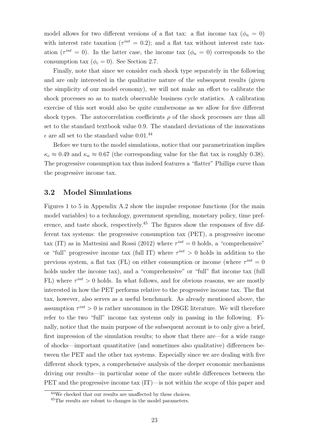model allows for two different versions of a flat tax: a flat income tax  $(\phi_n = 0)$ with interest rate taxation ( $\tau^{int} = 0.2$ ); and a flat tax without interest rate taxation ( $\tau^{int} = 0$ ). In the latter case, the income tax ( $\phi_n = 0$ ) corresponds to the consumption tax  $(\phi_c = 0)$ . See Section 2.7.

Finally, note that since we consider each shock type separately in the following and are only interested in the qualitative nature of the subsequent results (given the simplicity of our model economy), we will not make an effort to calibrate the shock processes so as to match observable business cycle statistics. A calibration exercise of this sort would also be quite cumbersome as we allow for five different shock types. The autocorrelation coefficients  $\rho$  of the shock processes are thus all set to the standard textbook value 0.9. The standard deviations of the innovations  $\epsilon$  are all set to the standard value 0.01.<sup>44</sup>

Before we turn to the model simulations, notice that our parametrization implies  $\kappa_c \approx 0.49$  and  $\kappa_n \approx 0.67$  (the corresponding value for the flat tax is roughly 0.38). The progressive consumption tax thus indeed features a "flatter" Phillips curve than the progressive income tax.

### 3.2 Model Simulations

Figures 1 to 5 in Appendix A.2 show the impulse response functions (for the main model variables) to a technology, government spending, monetary policy, time preference, and taste shock, respectively.<sup>45</sup> The figures show the responses of five different tax systems: the progressive consumption tax (PET), a progressive income tax (IT) as in Mattesini and Rossi (2012) where  $\tau^{int} = 0$  holds, a "comprehensive" or "full" progressive income tax (full IT) where  $\tau^{int} > 0$  holds in addition to the previous system, a flat tax (FL) on either consumption or income (where  $\tau^{int} = 0$ holds under the income tax), and a "comprehensive" or "full" flat income tax (full FL) where  $\tau^{int} > 0$  holds. In what follows, and for obvious reasons, we are mostly interested in how the PET performs relative to the progressive income tax. The flat tax, however, also serves as a useful benchmark. As already mentioned above, the assumption  $\tau^{int} > 0$  is rather uncommon in the DSGE literature. We will therefore refer to the two "full" income tax systems only in passing in the following. Finally, notice that the main purpose of the subsequent account is to only give a brief, first impression of the simulation results; to show that there are—for a wide range of shocks—important quantitative (and sometimes also qualitative) differences between the PET and the other tax systems. Especially since we are dealing with five different shock types, a comprehensive analysis of the deeper economic mechanisms driving our results—in particular some of the more subtle differences between the PET and the progressive income tax (IT)—is not within the scope of this paper and

<sup>44</sup>We checked that our results are unaffected by these choices.

<sup>45</sup>The results are robust to changes in the model parameters.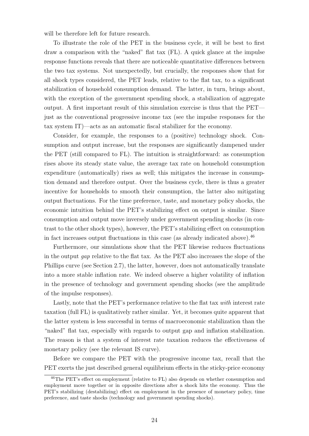will be therefore left for future research.

To illustrate the role of the PET in the business cycle, it will be best to first draw a comparison with the "naked" flat tax (FL). A quick glance at the impulse response functions reveals that there are noticeable quantitative differences between the two tax systems. Not unexpectedly, but crucially, the responses show that for all shock types considered, the PET leads, relative to the flat tax, to a significant stabilization of household consumption demand. The latter, in turn, brings about, with the exception of the government spending shock, a stabilization of aggregate output. A first important result of this simulation exercise is thus that the PET just as the conventional progressive income tax (see the impulse responses for the tax system IT)—acts as an automatic fiscal stabilizer for the economy.

Consider, for example, the responses to a (positive) technology shock. Consumption and output increase, but the responses are significantly dampened under the PET (still compared to FL). The intuition is straightforward: as consumption rises above its steady state value, the average tax rate on household consumption expenditure (automatically) rises as well; this mitigates the increase in consumption demand and therefore output. Over the business cycle, there is thus a greater incentive for households to smooth their consumption, the latter also mitigating output fluctuations. For the time preference, taste, and monetary policy shocks, the economic intuition behind the PET's stabilizing effect on output is similar. Since consumption and output move inversely under government spending shocks (in contrast to the other shock types), however, the PET's stabilizing effect on consumption in fact increases output fluctuations in this case (as already indicated above).  $46$ 

Furthermore, our simulations show that the PET likewise reduces fluctuations in the output gap relative to the flat tax. As the PET also increases the slope of the Phillips curve (see Section 2.7), the latter, however, does not automatically translate into a more stable inflation rate. We indeed observe a higher volatility of inflation in the presence of technology and government spending shocks (see the amplitude of the impulse responses).

Lastly, note that the PET's performance relative to the flat tax with interest rate taxation (full FL) is qualitatively rather similar. Yet, it becomes quite apparent that the latter system is less successful in terms of macroeconomic stabilization than the "naked" flat tax, especially with regards to output gap and inflation stabilization. The reason is that a system of interest rate taxation reduces the effectiveness of monetary policy (see the relevant IS curve).

Before we compare the PET with the progressive income tax, recall that the PET exerts the just described general equilibrium effects in the sticky-price economy

<sup>&</sup>lt;sup>46</sup>The PET's effect on employment (relative to FL) also depends on whether consumption and employment move together or in opposite directions after a shock hits the economy. Thus the PET's stabilizing (destabilizing) effect on employment in the presence of monetary policy, time preference, and taste shocks (technology and government spending shocks).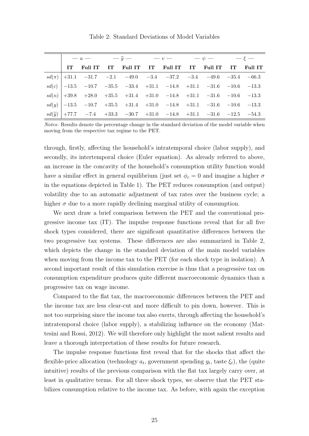Table 2: Standard Deviations of Model Variables

| $-a$ $ -\hat{g}$ $-$ |                                                                                                                                           |  |  | $-v-$ |  | — $\psi$ — |  | $-\epsilon$ — |         |
|----------------------|-------------------------------------------------------------------------------------------------------------------------------------------|--|--|-------|--|------------|--|---------------|---------|
|                      | IT Full IT IT Full IT IT Full IT IT Full IT IT                                                                                            |  |  |       |  |            |  |               | Full IT |
|                      | $sd(\pi)$ +31.1 -31.7 -2.1 -49.0 -3.4 -37.2 -3.4 -49.6 -35.4 -66.3                                                                        |  |  |       |  |            |  |               |         |
|                      | $sd(c)$ $-13.5$ $-10.7$ $-35.5$ $-33.4$ $+31.1$ $-14.8$ $+31.1$ $-31.6$ $-10.6$ $-13.3$                                                   |  |  |       |  |            |  |               |         |
|                      | $sd(n) \big  + 39.8 \quad + 28.0 \quad + 35.5 \quad + 31.4 \quad + 31.0 \quad - 14.8 \quad + 31.1 \quad - 31.6 \quad - 10.6 \quad - 13.3$ |  |  |       |  |            |  |               |         |
|                      | $sd(y)$   $-13.5$ $-10.7$ $+35.5$ $+31.4$ $+31.0$ $-14.8$ $+31.1$ $-31.6$ $-10.6$ $-13.3$                                                 |  |  |       |  |            |  |               |         |
|                      | $sd(\widetilde{y})$ +77.7 -7.4 +33.3 -30.7 +31.0 -14.8 +31.1 -31.6 -12.5 -54.3                                                            |  |  |       |  |            |  |               |         |

Notes: Results denote the percentage change in the standard deviation of the model variable when moving from the respective tax regime to the PET.

through, firstly, affecting the household's intratemporal choice (labor supply), and secondly, its intertemporal choice (Euler equation). As already referred to above, an increase in the concavity of the household's consumption utility function would have a similar effect in general equilibrium (just set  $\phi_c = 0$  and imagine a higher  $\sigma$ in the equations depicted in Table 1). The PET reduces consumption (and output) volatility due to an automatic adjustment of tax rates over the business cycle; a higher  $\sigma$  due to a more rapidly declining marginal utility of consumption.

We next draw a brief comparison between the PET and the conventional progressive income tax (IT). The impulse response functions reveal that for all five shock types considered, there are significant quantitative differences between the two progressive tax systems. These differences are also summarized in Table 2, which depicts the change in the standard deviation of the main model variables when moving from the income tax to the PET (for each shock type in isolation). A second important result of this simulation exercise is thus that a progressive tax on consumption expenditure produces quite different macroeconomic dynamics than a progressive tax on wage income.

Compared to the flat tax, the macroeconomic differences between the PET and the income tax are less clear-cut and more difficult to pin down, however. This is not too surprising since the income tax also exerts, through affecting the household's intratemporal choice (labor supply), a stabilizing influence on the economy (Mattesini and Rossi, 2012). We will therefore only highlight the most salient results and leave a thorough interpretation of these results for future research.

The impulse response functions first reveal that for the shocks that affect the flexible-price allocation (technology  $a_t$ , government spending  $g_t$ , taste  $\xi_t$ ), the (quite intuitive) results of the previous comparison with the flat tax largely carry over, at least in qualitative terms. For all three shock types, we observe that the PET stabilizes consumption relative to the income tax. As before, with again the exception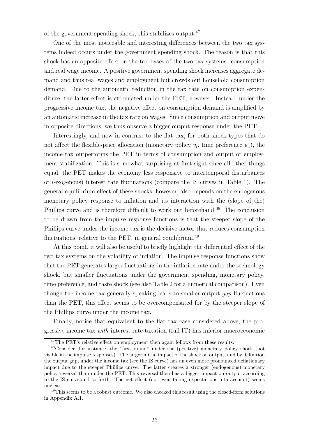of the government spending shock, this stabilizes output.<sup>47</sup>

One of the most noticeable and interesting differences between the two tax systems indeed occurs under the government spending shock. The reason is that this shock has an opposite effect on the tax bases of the two tax systems: consumption and real wage income. A positive government spending shock increases aggregate demand and thus real wages and employment but crowds out household consumption demand. Due to the automatic reduction in the tax rate on consumption expenditure, the latter effect is attenuated under the PET, however. Instead, under the progressive income tax, the negative effect on consumption demand is amplified by an automatic increase in the tax rate on wages. Since consumption and output move in opposite directions, we thus observe a bigger output response under the PET.

Interestingly, and now in contrast to the flat tax, for both shock types that do not affect the flexible-price allocation (monetary policy  $v_t$ , time preference  $\psi_t$ ), the income tax outperforms the PET in terms of consumption and output or employment stabilization. This is somewhat surprising at first sight since all other things equal, the PET makes the economy less responsive to intertemporal disturbances or (exogenous) interest rate fluctuations (compare the IS curves in Table 1). The general equilibrium effect of these shocks, however, also depends on the endogenous monetary policy response to inflation and its interaction with the (slope of the) Phillips curve and is therefore difficult to work out beforehand.<sup>48</sup> The conclusion to be drawn from the impulse response functions is that the steeper slope of the Phillips curve under the income tax is the decisive factor that reduces consumption fluctuations, relative to the PET, in general equilibrium.<sup>49</sup>

At this point, it will also be useful to briefly highlight the differential effect of the two tax systems on the volatility of inflation. The impulse response functions show that the PET generates larger fluctuations in the inflation rate under the technology shock, but smaller fluctuations under the government spending, monetary policy, time preference, and taste shock (see also Table 2 for a numerical comparison). Even though the income tax generally speaking leads to smaller output *gap* fluctuations than the PET, this effect seems to be overcompensated for by the steeper slope of the Phillips curve under the income tax.

Finally, notice that equivalent to the flat tax case considered above, the progressive income tax with interest rate taxation (full IT) has inferior macroeconomic

<sup>&</sup>lt;sup>47</sup>The PET's relative effect on employment then again follows from these results.

<sup>48</sup>Consider, for instance, the "first round" under the (positive) monetary policy shock (not visible in the impulse responses). The larger initial impact of the shock on output, and by definition the output gap, under the income tax (see the IS curve) has an even more pronounced deflationary impact due to the steeper Phillips curve. The latter creates a stronger (endogenous) monetary policy reversal than under the PET. This reversal then has a bigger impact on output according to the IS curve and so forth. The net effect (not even taking expectations into account) seems unclear.

<sup>&</sup>lt;sup>49</sup>This seems to be a robust outcome. We also checked this result using the closed-form solutions in Appendix A.1.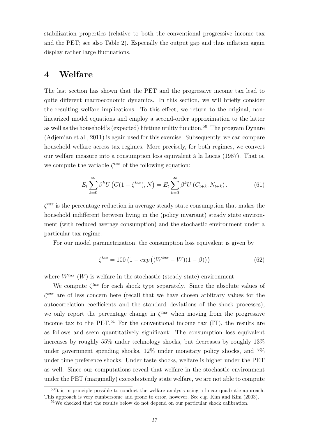stabilization properties (relative to both the conventional progressive income tax and the PET; see also Table 2). Especially the output gap and thus inflation again display rather large fluctuations.

# 4 Welfare

The last section has shown that the PET and the progressive income tax lead to quite different macroeconomic dynamics. In this section, we will briefly consider the resulting welfare implications. To this effect, we return to the original, nonlinearized model equations and employ a second-order approximation to the latter as well as the household's (expected) lifetime utility function.<sup>50</sup> The program Dynare (Adjemian et al., 2011) is again used for this exercise. Subsequently, we can compare household welfare across tax regimes. More precisely, for both regimes, we convert our welfare measure into a consumption loss equivalent `a la Lucas (1987). That is, we compute the variable  $\zeta^{tax}$  of the following equation:

$$
E_t \sum_{k=0}^{\infty} \beta^k U \left( C(1 - \zeta^{tax}), N \right) = E_t \sum_{k=0}^{\infty} \beta^k U \left( C_{t+k}, N_{t+k} \right). \tag{61}
$$

 $\zeta^{tax}$  is the percentage reduction in average steady state consumption that makes the household indifferent between living in the (policy invariant) steady state environment (with reduced average consumption) and the stochastic environment under a particular tax regime.

For our model parametrization, the consumption loss equivalent is given by

$$
\zeta^{tax} = 100 \left( 1 - exp\left( (W^{tax} - W)(1 - \beta) \right) \right) \tag{62}
$$

where  $W^{tax}$  (W) is welfare in the stochastic (steady state) environment.

We compute  $\zeta^{tax}$  for each shock type separately. Since the absolute values of  $\zeta^{tax}$  are of less concern here (recall that we have chosen arbitrary values for the autocorrelation coefficients and the standard deviations of the shock processes), we only report the percentage change in  $\zeta^{tax}$  when moving from the progressive income tax to the PET.<sup>51</sup> For the conventional income tax  $(IT)$ , the results are as follows and seem quantitatively significant: The consumption loss equivalent increases by roughly 55% under technology shocks, but decreases by roughly 13% under government spending shocks, 12% under monetary policy shocks, and 7% under time preference shocks. Under taste shocks, welfare is higher under the PET as well. Since our computations reveal that welfare in the stochastic environment under the PET (marginally) exceeds steady state welfare, we are not able to compute

 $50$ It is in principle possible to conduct the welfare analysis using a linear-quadratic approach. This approach is very cumbersome and prone to error, however. See e.g. Kim and Kim (2003).

<sup>51</sup>We checked that the results below do not depend on our particular shock calibration.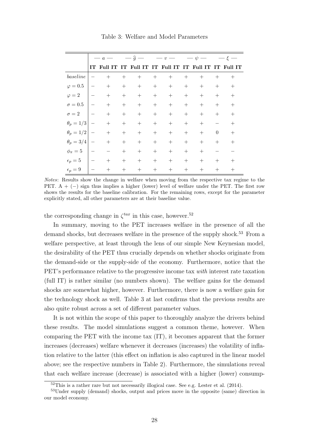|                  | $-a$                     |                                                        | $-\hat{g}$ —     |     | $- v -$          |        | $-\psi -$ |        | $\xi$    |        |
|------------------|--------------------------|--------------------------------------------------------|------------------|-----|------------------|--------|-----------|--------|----------|--------|
|                  |                          | IT Full IT IT Full IT IT Full IT IT Full IT IT Full IT |                  |     |                  |        |           |        |          |        |
| baseline         |                          | $+$                                                    | $^{+}$           | $+$ | $\boldsymbol{+}$ | $+$    | $+$       | $+$    | $^{+}$   | $^{+}$ |
| $\varphi = 0.5$  |                          | $^{+}$                                                 | $+$              | $+$ | $+$              | $^{+}$ | $+$       | $^{+}$ | $+$      | $^{+}$ |
| $\varphi = 2$    |                          | $\boldsymbol{+}$                                       | $\boldsymbol{+}$ | $+$ | $+$              | $+$    | $^{+}$    | $^{+}$ | $+$      | $^{+}$ |
| $\sigma = 0.5$   |                          | $^{+}$                                                 | $\boldsymbol{+}$ | $+$ | $\boldsymbol{+}$ | $+$    | $+$       | $+$    | $+$      | $^{+}$ |
| $\sigma = 2$     | $\hspace{0.1mm}$         | $^{+}$                                                 | $\boldsymbol{+}$ | $+$ | $^{+}$           | $+$    | $+$       | $+$    | $^{+}$   | $^{+}$ |
| $\theta_p=1/3$   | $\overline{\phantom{0}}$ | $^{+}$                                                 | $+$              | $+$ | $\boldsymbol{+}$ | $+$    | $+$       | $^{+}$ |          | $^{+}$ |
| $\theta_p=1/2$   | $\overline{\phantom{0}}$ | $^{+}$                                                 | $^{+}$           | $+$ |                  | $^{+}$ | $+$       | $+$    | $\theta$ | $^{+}$ |
| $\theta_p = 3/4$ |                          | $\boldsymbol{+}$                                       | $+$              | $+$ | $+$              | $^{+}$ | $^{+}$    | $+$    | $^{+}$   | $^{+}$ |
| $\phi_{\pi}=5$   |                          |                                                        | $^{+}$           | $+$ | $\boldsymbol{+}$ | $+$    | $^{+}$    | $^{+}$ |          |        |
| $\epsilon_p=5$   |                          | $^{+}$                                                 | $+$              | $+$ | $^{+}$           | $+$    | $+$       | $^{+}$ | $^{+}$   | $^+$   |
| $\epsilon_p=9$   |                          | $^{+}$                                                 | $^{+}$           | $+$ | $+$              | $^{+}$ | $^{+}$    | $^{+}$ | $^{+}$   | $^{+}$ |

Table 3: Welfare and Model Parameters

Notes: Results show the change in welfare when moving from the respective tax regime to the PET. A + (−) sign thus implies a higher (lower) level of welfare under the PET. The first row shows the results for the baseline calibration. For the remaining rows, except for the parameter explicitly stated, all other parameters are at their baseline value.

the corresponding change in  $\zeta^{tax}$  in this case, however.<sup>52</sup>

In summary, moving to the PET increases welfare in the presence of all the demand shocks, but decreases welfare in the presence of the supply shock.<sup>53</sup> From a welfare perspective, at least through the lens of our simple New Keynesian model, the desirability of the PET thus crucially depends on whether shocks originate from the demand-side or the supply-side of the economy. Furthermore, notice that the PET's performance relative to the progressive income tax with interest rate taxation (full IT) is rather similar (no numbers shown). The welfare gains for the demand shocks are somewhat higher, however. Furthermore, there is now a welfare gain for the technology shock as well. Table 3 at last confirms that the previous results are also quite robust across a set of different parameter values.

It is not within the scope of this paper to thoroughly analyze the drivers behind these results. The model simulations suggest a common theme, however. When comparing the PET with the income tax (IT), it becomes apparent that the former increases (decreases) welfare whenever it decreases (increases) the volatility of inflation relative to the latter (this effect on inflation is also captured in the linear model above; see the respective numbers in Table 2). Furthermore, the simulations reveal that each welfare increase (decrease) is associated with a higher (lower) consump-

 $52$ This is a rather rare but not necessarily illogical case. See e.g. Lester et al. (2014).

<sup>53</sup>Under supply (demand) shocks, output and prices move in the opposite (same) direction in our model economy.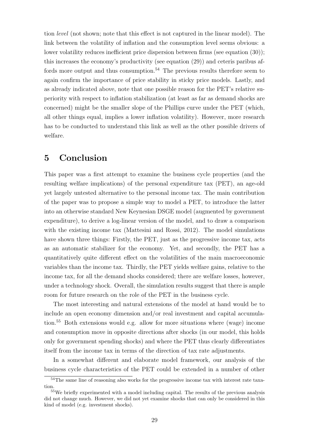tion level (not shown; note that this effect is not captured in the linear model). The link between the volatility of inflation and the consumption level seems obvious: a lower volatility reduces inefficient price dispersion between firms (see equation (30)); this increases the economy's productivity (see equation (29)) and ceteris paribus affords more output and thus consumption.<sup>54</sup> The previous results therefore seem to again confirm the importance of price stability in sticky price models. Lastly, and as already indicated above, note that one possible reason for the PET's relative superiority with respect to inflation stabilization (at least as far as demand shocks are concerned) might be the smaller slope of the Phillips curve under the PET (which, all other things equal, implies a lower inflation volatility). However, more research has to be conducted to understand this link as well as the other possible drivers of welfare.

# 5 Conclusion

This paper was a first attempt to examine the business cycle properties (and the resulting welfare implications) of the personal expenditure tax (PET), an age-old yet largely untested alternative to the personal income tax. The main contribution of the paper was to propose a simple way to model a PET, to introduce the latter into an otherwise standard New Keynesian DSGE model (augmented by government expenditure), to derive a log-linear version of the model, and to draw a comparison with the existing income tax (Mattesini and Rossi, 2012). The model simulations have shown three things: Firstly, the PET, just as the progressive income tax, acts as an automatic stabilizer for the economy. Yet, and secondly, the PET has a quantitatively quite different effect on the volatilities of the main macroeconomic variables than the income tax. Thirdly, the PET yields welfare gains, relative to the income tax, for all the demand shocks considered; there are welfare losses, however, under a technology shock. Overall, the simulation results suggest that there is ample room for future research on the role of the PET in the business cycle.

The most interesting and natural extensions of the model at hand would be to include an open economy dimension and/or real investment and capital accumulation.<sup>55</sup> Both extensions would e.g. allow for more situations where (wage) income and consumption move in opposite directions after shocks (in our model, this holds only for government spending shocks) and where the PET thus clearly differentiates itself from the income tax in terms of the direction of tax rate adjustments.

In a somewhat different and elaborate model framework, our analysis of the business cycle characteristics of the PET could be extended in a number of other

<sup>&</sup>lt;sup>54</sup>The same line of reasoning also works for the progressive income tax with interest rate taxation.

 $55$ We briefly experimented with a model including capital. The results of the previous analysis did not change much. However, we did not yet examine shocks that can only be considered in this kind of model (e.g. investment shocks).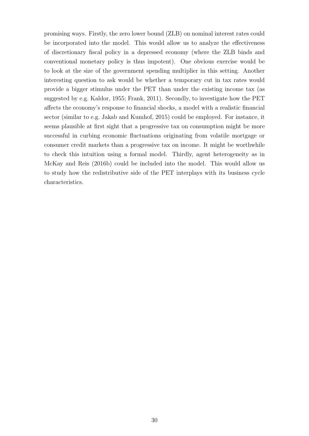promising ways. Firstly, the zero lower bound (ZLB) on nominal interest rates could be incorporated into the model. This would allow us to analyze the effectiveness of discretionary fiscal policy in a depressed economy (where the ZLB binds and conventional monetary policy is thus impotent). One obvious exercise would be to look at the size of the government spending multiplier in this setting. Another interesting question to ask would be whether a temporary cut in tax rates would provide a bigger stimulus under the PET than under the existing income tax (as suggested by e.g. Kaldor, 1955; Frank, 2011). Secondly, to investigate how the PET affects the economy's response to financial shocks, a model with a realistic financial sector (similar to e.g. Jakab and Kumhof, 2015) could be employed. For instance, it seems plausible at first sight that a progressive tax on consumption might be more successful in curbing economic fluctuations originating from volatile mortgage or consumer credit markets than a progressive tax on income. It might be worthwhile to check this intuition using a formal model. Thirdly, agent heterogeneity as in McKay and Reis (2016b) could be included into the model. This would allow us to study how the redistributive side of the PET interplays with its business cycle characteristics.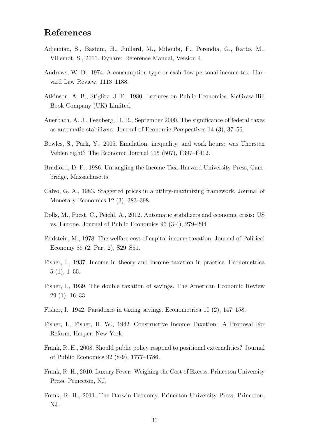# References

- Adjemian, S., Bastani, H., Juillard, M., Mihoubi, F., Perendia, G., Ratto, M., Villemot, S., 2011. Dynare: Reference Manual, Version 4.
- Andrews, W. D., 1974. A consumption-type or cash flow personal income tax. Harvard Law Review, 1113–1188.
- Atkinson, A. B., Stiglitz, J. E., 1980. Lectures on Public Economics. McGraw-Hill Book Company (UK) Limited.
- Auerbach, A. J., Feenberg, D. R., September 2000. The significance of federal taxes as automatic stabilizers. Journal of Economic Perspectives 14 (3), 37–56.
- Bowles, S., Park, Y., 2005. Emulation, inequality, and work hours: was Thorsten Veblen right? The Economic Journal 115 (507), F397–F412.
- Bradford, D. F., 1986. Untangling the Income Tax. Harvard University Press, Cambridge, Massachusetts.
- Calvo, G. A., 1983. Staggered prices in a utility-maximizing framework. Journal of Monetary Economics 12 (3), 383–398.
- Dolls, M., Fuest, C., Peichl, A., 2012. Automatic stabilizers and economic crisis: US vs. Europe. Journal of Public Economics 96 (3-4), 279–294.
- Feldstein, M., 1978. The welfare cost of capital income taxation. Journal of Political Economy 86 (2, Part 2), S29–S51.
- Fisher, I., 1937. Income in theory and income taxation in practice. Econometrica  $5(1), 1-55.$
- Fisher, I., 1939. The double taxation of savings. The American Economic Review 29 (1), 16–33.
- Fisher, I., 1942. Paradoxes in taxing savings. Econometrica 10 (2), 147–158.
- Fisher, I., Fisher, H. W., 1942. Constructive Income Taxation: A Proposal For Reform. Harper, New York.
- Frank, R. H., 2008. Should public policy respond to positional externalities? Journal of Public Economics 92 (8-9), 1777–1786.
- Frank, R. H., 2010. Luxury Fever: Weighing the Cost of Excess. Princeton University Press, Princeton, NJ.
- Frank, R. H., 2011. The Darwin Economy. Princeton University Press, Princeton, NJ.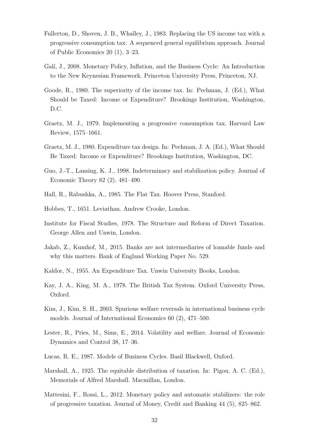- Fullerton, D., Shoven, J. B., Whalley, J., 1983. Replacing the US income tax with a progressive consumption tax: A sequenced general equilibrium approach. Journal of Public Economics 20 (1), 3–23.
- Galí, J., 2008. Monetary Policy, Inflation, and the Business Cycle: An Introduction to the New Keynesian Framework. Princeton University Press, Princeton, NJ.
- Goode, R., 1980. The superiority of the income tax. In: Pechman, J. (Ed.), What Should be Taxed: Income or Expenditure? Brookings Institution, Washington, D.C.
- Graetz, M. J., 1979. Implementing a progressive consumption tax. Harvard Law Review, 1575–1661.
- Graetz, M. J., 1980. Expenditure tax design. In: Pechman, J. A. (Ed.), What Should Be Taxed: Income or Expenditure? Brookings Institution, Washington, DC.
- Guo, J.-T., Lansing, K. J., 1998. Indeterminacy and stabilization policy. Journal of Economic Theory 82 (2), 481–490.
- Hall, R., Rabushka, A., 1985. The Flat Tax. Hoover Press, Stanford.
- Hobbes, T., 1651. Leviathan. Andrew Crooke, London.
- Institute for Fiscal Studies, 1978. The Structure and Reform of Direct Taxation. George Allen and Unwin, London.
- Jakab, Z., Kumhof, M., 2015. Banks are not intermediaries of loanable funds–and why this matters. Bank of England Working Paper No. 529.
- Kaldor, N., 1955. An Expenditure Tax. Unwin University Books, London.
- Kay, J. A., King, M. A., 1978. The British Tax System. Oxford University Press, Oxford.
- Kim, J., Kim, S. H., 2003. Spurious welfare reversals in international business cycle models. Journal of International Economics 60 (2), 471–500.
- Lester, R., Pries, M., Sims, E., 2014. Volatility and welfare. Journal of Economic Dynamics and Control 38, 17–36.
- Lucas, R. E., 1987. Models of Business Cycles. Basil Blackwell, Oxford.
- Marshall, A., 1925. The equitable distribution of taxation. In: Pigou, A. C. (Ed.), Memorials of Alfred Marshall. Macmillan, London.
- Mattesini, F., Rossi, L., 2012. Monetary policy and automatic stabilizers: the role of progressive taxation. Journal of Money, Credit and Banking 44 (5), 825–862.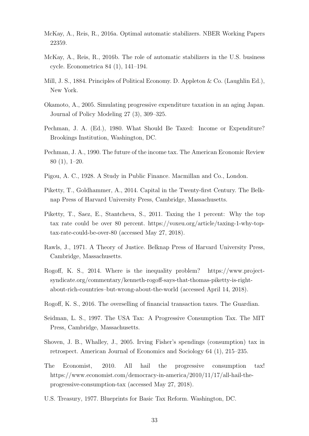- McKay, A., Reis, R., 2016a. Optimal automatic stabilizers. NBER Working Papers 22359.
- McKay, A., Reis, R., 2016b. The role of automatic stabilizers in the U.S. business cycle. Econometrica 84 (1), 141–194.
- Mill, J. S., 1884. Principles of Political Economy. D. Appleton & Co. (Laughlin Ed.), New York.
- Okamoto, A., 2005. Simulating progressive expenditure taxation in an aging Japan. Journal of Policy Modeling 27 (3), 309–325.
- Pechman, J. A. (Ed.), 1980. What Should Be Taxed: Income or Expenditure? Brookings Institution, Washington, DC.
- Pechman, J. A., 1990. The future of the income tax. The American Economic Review 80 (1), 1–20.
- Pigou, A. C., 1928. A Study in Public Finance. Macmillan and Co., London.
- Piketty, T., Goldhammer, A., 2014. Capital in the Twenty-first Century. The Belknap Press of Harvard University Press, Cambridge, Massachusetts.
- Piketty, T., Saez, E., Stantcheva, S., 2011. Taxing the 1 percent: Why the top tax rate could be over 80 percent. https://voxeu.org/article/taxing-1-why-toptax-rate-could-be-over-80 (accessed May 27, 2018).
- Rawls, J., 1971. A Theory of Justice. Belknap Press of Harvard University Press, Cambridge, Massachusetts.
- Rogoff, K. S., 2014. Where is the inequality problem? https://www.projectsyndicate.org/commentary/kenneth-rogoff-says-that-thomas-piketty-is-rightabout-rich-countries–but-wrong-about-the-world (accessed April 14, 2018).
- Rogoff, K. S., 2016. The overselling of financial transaction taxes. The Guardian.
- Seidman, L. S., 1997. The USA Tax: A Progressive Consumption Tax. The MIT Press, Cambridge, Massachusetts.
- Shoven, J. B., Whalley, J., 2005. Irving Fisher's spendings (consumption) tax in retrospect. American Journal of Economics and Sociology 64 (1), 215–235.
- The Economist, 2010. All hail the progressive consumption tax! https://www.economist.com/democracy-in-america/2010/11/17/all-hail-theprogressive-consumption-tax (accessed May 27, 2018).
- U.S. Treasury, 1977. Blueprints for Basic Tax Reform. Washington, DC.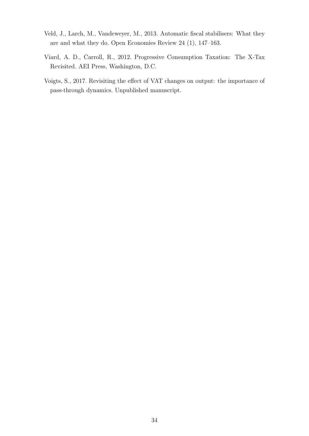- Veld, J., Larch, M., Vandeweyer, M., 2013. Automatic fiscal stabilisers: What they are and what they do. Open Economies Review 24 (1), 147–163.
- Viard, A. D., Carroll, R., 2012. Progressive Consumption Taxation: The X-Tax Revisited. AEI Press, Washington, D.C.
- Voigts, S., 2017. Revisiting the effect of VAT changes on output: the importance of pass-through dynamics. Unpublished manuscript.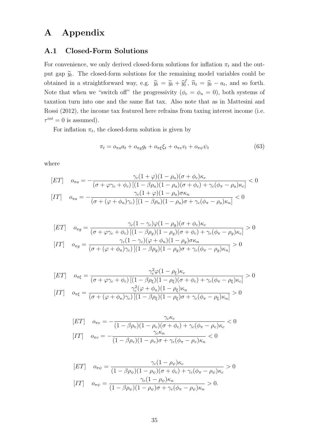# A Appendix

### A.1 Closed-Form Solutions

For convenience, we only derived closed-form solutions for inflation  $\pi_t$  and the output gap  $\widetilde{y}_t$ . The closed-form solutions for the remaining model variables could be obtained in a straightforward way, e.g.  $\hat{y}_t = \tilde{y}_t + \hat{y}_t^f$  $\hat{u}_t^f$ ,  $\hat{n}_t = \hat{y}_t - a_t$ , and so forth. Note that when we "switch off" the progressivity  $(\phi_c = \phi_n = 0)$ , both systems of taxation turn into one and the same flat tax. Also note that as in Mattesini and Rossi (2012), the income tax featured here refrains from taxing interest income (i.e.  $\tau^{int} = 0$  is assumed).

For inflation  $\pi_t$ , the closed-form solution is given by

$$
\pi_t = o_{\pi a} a_t + o_{\pi g} g_t + o_{\pi \xi} \xi_t + o_{\pi v} v_t + o_{\pi \psi} \psi_t \tag{63}
$$

where

$$
[ET] \quad o_{\pi a} = -\frac{\gamma_c (1+\varphi)(1-\rho_a)(\sigma+\phi_c)\kappa_c}{(\sigma+\varphi\gamma_c+\phi_c)\left[(1-\beta\rho_a)(1-\rho_a)(\sigma+\phi_c)+\gamma_c(\phi_{\pi}-\rho_a)\kappa_c\right]} < 0
$$

$$
[IT] \quad o_{\pi a} = -\frac{\gamma_c (1+\varphi)(1-\rho_a)\sigma\kappa_n}{(\sigma+(\varphi+\phi_n)\gamma_c)\left[(1-\beta\rho_a)(1-\rho_a)\sigma+\gamma_c(\phi_{\pi}-\rho_a)\kappa_n\right]} < 0
$$

$$
[ET] \quad o_{\pi g} = \frac{\gamma_c (1 - \gamma_c) \varphi (1 - \rho_g) (\sigma + \phi_c) \kappa_c}{(\sigma + \varphi \gamma_c + \phi_c) \left[ (1 - \beta \rho_g) (1 - \rho_g) (\sigma + \phi_c) + \gamma_c (\phi_{\pi} - \rho_g) \kappa_c \right]} > 0
$$

$$
[IT] \quad o_{\pi g} = \frac{\gamma_c (1 - \gamma_c) (\varphi + \phi_n) (1 - \rho_g) \sigma \kappa_n}{(\sigma + (\varphi + \phi_n) \gamma_c) \left[ (1 - \beta \rho_g) (1 - \rho_g) \sigma + \gamma_c (\phi_{\pi} - \rho_g) \kappa_n \right]} > 0
$$

$$
[ET] \quad o_{\pi\xi} = \frac{\gamma_c^2 \varphi (1 - \rho_\xi) \kappa_c}{(\sigma + \varphi \gamma_c + \phi_c) \left[ (1 - \beta \rho_\xi)(1 - \rho_\xi)(\sigma + \phi_c) + \gamma_c (\phi_\pi - \rho_\xi) \kappa_c \right]} > 0
$$

$$
[IT] \quad o_{\pi\xi} = \frac{\gamma_c^2 (\varphi + \phi_n)(1 - \rho_\xi) \kappa_n}{(\sigma + (\varphi + \phi_n)\gamma_c) \left[ (1 - \beta \rho_\xi)(1 - \rho_\xi)\sigma + \gamma_c (\phi_\pi - \rho_\xi) \kappa_n \right]} > 0
$$

$$
\begin{aligned} \n[ET] \quad & o_{\pi v} = -\frac{\gamma_c \kappa_c}{(1 - \beta \rho_v)(1 - \rho_v)(\sigma + \phi_c) + \gamma_c(\phi_\pi - \rho_v)\kappa_c} < 0\\ \n[IT] \quad & o_{\pi v} = -\frac{\gamma_c \kappa_n}{(1 - \beta \rho_v)(1 - \rho_v)\sigma + \gamma_c(\phi_\pi - \rho_v)\kappa_n} < 0 \n\end{aligned}
$$

$$
[ET] \quad o_{\pi\psi} = \frac{\gamma_c (1 - \rho_{\psi}) \kappa_c}{(1 - \beta \rho_{\psi})(1 - \rho_{\psi})(\sigma + \phi_c) + \gamma_c (\phi_{\pi} - \rho_{\psi}) \kappa_c} > 0
$$

$$
[IT] \quad o_{\pi\psi} = \frac{\gamma_c (1 - \rho_{\psi}) \kappa_n}{(1 - \beta \rho_{\psi})(1 - \rho_{\psi})\sigma + \gamma_c (\phi_{\pi} - \rho_{\psi}) \kappa_n} > 0.
$$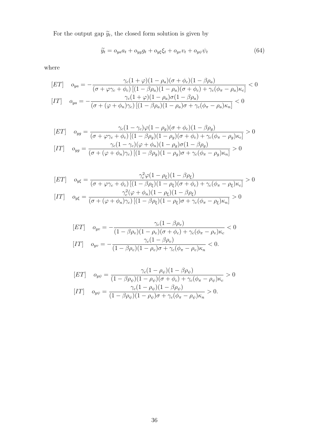For the output gap  $\widetilde{y}_t$ , the closed form solution is given by

$$
\widetilde{y}_t = o_{ya}a_t + o_{yg}g_t + o_{y\xi}\xi_t + o_{y\psi}v_t + o_{y\psi}\psi_t \tag{64}
$$

where

$$
[ET] \quad o_{ya} = -\frac{\gamma_c (1+\varphi)(1-\rho_a)(\sigma+\phi_c)(1-\beta\rho_a)}{(\sigma+\varphi\gamma_c+\phi_c)[(1-\beta\rho_a)(1-\rho_a)(\sigma+\phi_c)+\gamma_c(\phi_{\pi}-\rho_a)\kappa_c]} < 0
$$

$$
[IT] \quad o_{ya} = -\frac{\gamma_c (1+\varphi)(1-\rho_a)\sigma(1-\beta\rho_a)}{(\sigma+(\varphi+\phi_n)\gamma_c)[(1-\beta\rho_a)(1-\rho_a)\sigma+\gamma_c(\phi_{\pi}-\rho_a)\kappa_n]} < 0
$$

$$
[ET] \quad o_{yg} = \frac{\gamma_c (1 - \gamma_c) \varphi (1 - \rho_g) (\sigma + \phi_c) (1 - \beta \rho_g)}{(\sigma + \varphi \gamma_c + \phi_c) \left[ (1 - \beta \rho_g) (1 - \rho_g) (\sigma + \phi_c) + \gamma_c (\phi_\pi - \rho_g) \kappa_c \right]} > 0
$$

$$
[IT] \quad o_{yg} = \frac{\gamma_c (1 - \gamma_c) (\varphi + \phi_n) (1 - \rho_g) \sigma (1 - \beta \rho_g)}{(\sigma + (\varphi + \phi_n) \gamma_c) \left[ (1 - \beta \rho_g) (1 - \rho_g) \sigma + \gamma_c (\phi_\pi - \rho_g) \kappa_n \right]} > 0
$$

$$
[ET] \quad o_{y\xi} = \frac{\gamma_c^2 \varphi (1 - \rho_\xi)(1 - \beta \rho_\xi)}{(\sigma + \varphi \gamma_c + \phi_c) \left[ (1 - \beta \rho_\xi)(1 - \rho_\xi)(\sigma + \phi_c) + \gamma_c (\phi_\pi - \rho_\xi) \kappa_c \right]} > 0
$$

$$
[IT] \quad o_{y\xi} = \frac{\gamma_c^2 (\varphi + \phi_n)(1 - \rho_\xi)(1 - \beta \rho_\xi)}{(\sigma + (\varphi + \phi_n)\gamma_c) \left[ (1 - \beta \rho_\xi)(1 - \rho_\xi)\sigma + \gamma_c (\phi_\pi - \rho_\xi) \kappa_n \right]} > 0
$$

$$
[ET] \quad o_{yv} = -\frac{\gamma_c (1 - \beta \rho_v)}{(1 - \beta \rho_v)(1 - \rho_v)(\sigma + \phi_c) + \gamma_c (\phi_\pi - \rho_v)\kappa_c} < 0
$$
  

$$
[IT] \quad o_{yv} = -\frac{\gamma_c (1 - \beta \rho_v)}{(1 - \beta \rho_v)(1 - \rho_v)\sigma + \gamma_c (\phi_\pi - \rho_v)\kappa_n} < 0.
$$

$$
[ET] \quad o_{y\psi} = \frac{\gamma_c (1 - \rho_{\psi})(1 - \beta \rho_{\psi})}{(1 - \beta \rho_{\psi})(1 - \rho_{\psi})(\sigma + \phi_c) + \gamma_c (\phi_{\pi} - \rho_{\psi})\kappa_c} > 0
$$

$$
[IT] \quad o_{y\psi} = \frac{\gamma_c (1 - \rho_{\psi})(1 - \beta \rho_{\psi})}{(1 - \beta \rho_{\psi})(1 - \rho_{\psi})\sigma + \gamma_c (\phi_{\pi} - \rho_{\psi})\kappa_n} > 0.
$$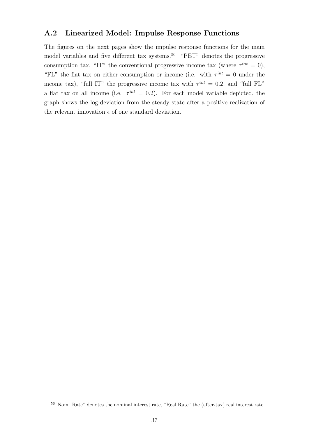## A.2 Linearized Model: Impulse Response Functions

The figures on the next pages show the impulse response functions for the main model variables and five different tax systems.<sup>56</sup> "PET" denotes the progressive consumption tax, "IT" the conventional progressive income tax (where  $\tau^{int} = 0$ ), "FL" the flat tax on either consumption or income (i.e. with  $\tau^{int} = 0$  under the income tax), "full IT" the progressive income tax with  $\tau^{int} = 0.2$ , and "full FL" a flat tax on all income (i.e.  $\tau^{int} = 0.2$ ). For each model variable depicted, the graph shows the log-deviation from the steady state after a positive realization of the relevant innovation  $\epsilon$  of one standard deviation.

<sup>56</sup>"Nom. Rate" denotes the nominal interest rate, "Real Rate" the (after-tax) real interest rate.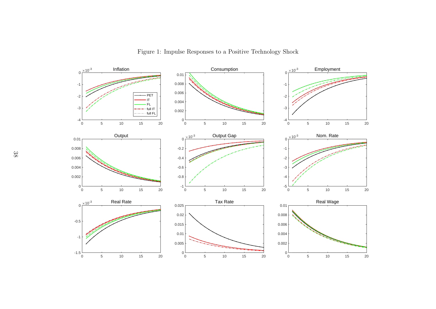

Figure 1: Impulse Responses to <sup>a</sup> Positive Technology Shock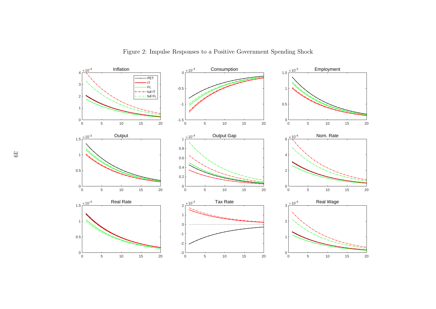

Figure 2: Impulse Responses to <sup>a</sup> Positive Government Spending Shock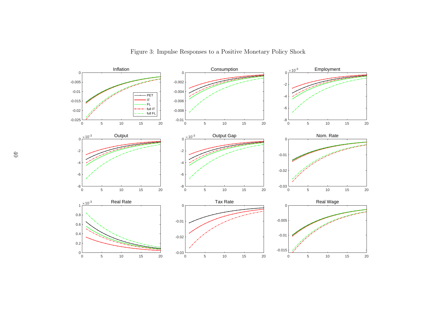

Figure 3: Impulse Responses to <sup>a</sup> Positive Monetary Policy Shock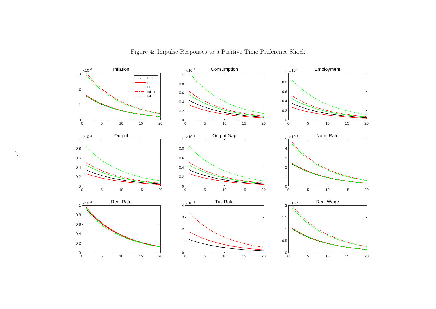

Figure 4: Impulse Responses to <sup>a</sup> Positive Time Preference Shock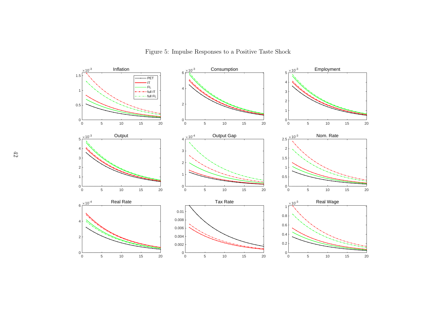

Figure 5: Impulse Responses to <sup>a</sup> Positive Taste Shock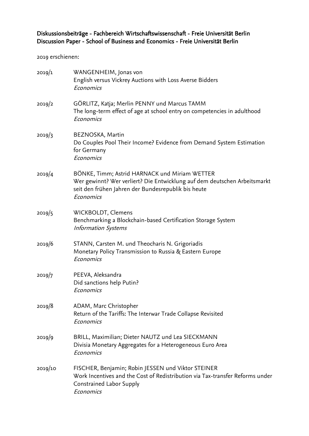# Diskussionsbeiträge - Fachbereich Wirtschaftswissenschaft - Freie Universität Berlin Discussion Paper - School of Business and Economics - Freie Universität Berlin

2019 erschienen:

| 2019/1  | WANGENHEIM, Jonas von<br>English versus Vickrey Auctions with Loss Averse Bidders<br>Economics                                                                                                 |
|---------|------------------------------------------------------------------------------------------------------------------------------------------------------------------------------------------------|
| 2019/2  | GÖRLITZ, Katja; Merlin PENNY und Marcus TAMM<br>The long-term effect of age at school entry on competencies in adulthood<br>Economics                                                          |
| 2019/3  | BEZNOSKA, Martin<br>Do Couples Pool Their Income? Evidence from Demand System Estimation<br>for Germany<br>Economics                                                                           |
| 2019/4  | BÖNKE, Timm; Astrid HARNACK und Miriam WETTER<br>Wer gewinnt? Wer verliert? Die Entwicklung auf dem deutschen Arbeitsmarkt<br>seit den frühen Jahren der Bundesrepublik bis heute<br>Economics |
| 2019/5  | WICKBOLDT, Clemens<br>Benchmarking a Blockchain-based Certification Storage System<br><b>Information Systems</b>                                                                               |
| 2019/6  | STANN, Carsten M. und Theocharis N. Grigoriadis<br>Monetary Policy Transmission to Russia & Eastern Europe<br>Economics                                                                        |
| 2019/7  | PEEVA, Aleksandra<br>Did sanctions help Putin?<br>Economics                                                                                                                                    |
| 2019/8  | ADAM, Marc Christopher<br>Return of the Tariffs: The Interwar Trade Collapse Revisited<br>Economics                                                                                            |
| 2019/9  | BRILL, Maximilian; Dieter NAUTZ und Lea SIECKMANN<br>Divisia Monetary Aggregates for a Heterogeneous Euro Area<br>Economics                                                                    |
| 2019/10 | FISCHER, Benjamin; Robin JESSEN und Viktor STEINER<br>Work Incentives and the Cost of Redistribution via Tax-transfer Reforms under<br>Constrained Labor Supply<br>Economics                   |